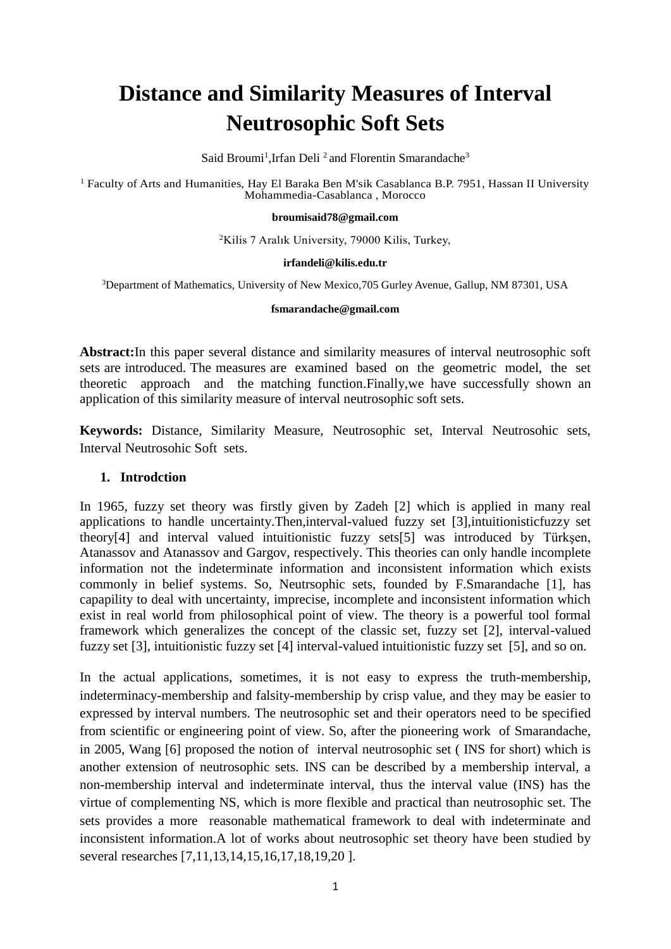# **Distance and Similarity Measures of Interval Neutrosophic Soft Sets**

Said Broumi<sup>1</sup>, Irfan Deli<sup>2</sup> and Florentin Smarandache<sup>3</sup>

<sup>1</sup> Faculty of Arts and Humanities, Hay El Baraka Ben M'sik Casablanca B.P. 7951, Hassan II University Mohammedia-Casablanca , Morocco

#### **[broumisaid78@gmail.com](mailto:1broumisaid78@gmail.com)**

<sup>2</sup>Kilis 7 Aralık University, 79000 Kilis, Turkey,

#### **irfandeli@kilis.edu.tr**

<sup>3</sup>Department of Mathematics, University of New Mexico,705 Gurley Avenue, Gallup, NM 87301, USA

#### **[fsmarandache@gmail.com](mailto:fsmarandache@gmail.com)**

**Abstract:**In this paper several distance and similarity measures of interval neutrosophic soft sets are introduced. The measures are examined based on the geometric model, the set theoretic approach and the matching function.Finally,we have successfully shown an application of this similarity measure of interval neutrosophic soft sets.

**Keywords:** Distance, Similarity Measure, Neutrosophic set, Interval Neutrosohic sets, Interval Neutrosohic Soft sets.

#### **1. Introdction**

In 1965, fuzzy set theory was firstly given by Zadeh [2] which is applied in many real applications to handle uncertainty.Then,interval-valued fuzzy set [3],intuitionisticfuzzy set theory[4] and interval valued intuitionistic fuzzy sets[5] was introduced by Türkşen, Atanassov and Atanassov and Gargov, respectively. This theories can only handle incomplete information not the indeterminate information and inconsistent information which exists commonly in belief systems. So, Neutrsophic sets, founded by F.Smarandache [1], has capapility to deal with uncertainty, imprecise, incomplete and inconsistent information which exist in real world from philosophical point of view. The theory is a powerful tool formal framework which generalizes the concept of the classic set, fuzzy set [2], interval-valued fuzzy set [3], intuitionistic fuzzy set [4] interval-valued intuitionistic fuzzy set [5], and so on.

In the actual applications, sometimes, it is not easy to express the truth-membership, indeterminacy-membership and falsity-membership by crisp value, and they may be easier to expressed by interval numbers. The neutrosophic set and their operators need to be specified from scientific or engineering point of view. So, after the pioneering work of Smarandache, in 2005, Wang [6] proposed the notion of interval neutrosophic set ( INS for short) which is another extension of neutrosophic sets. INS can be described by a membership interval, a non-membership interval and indeterminate interval, thus the interval value (INS) has the virtue of complementing NS, which is more flexible and practical than neutrosophic set. The sets provides a more reasonable mathematical framework to deal with indeterminate and inconsistent information.A lot of works about neutrosophic set theory have been studied by several researches [7,11,13,14,15,16,17,18,19,20 ].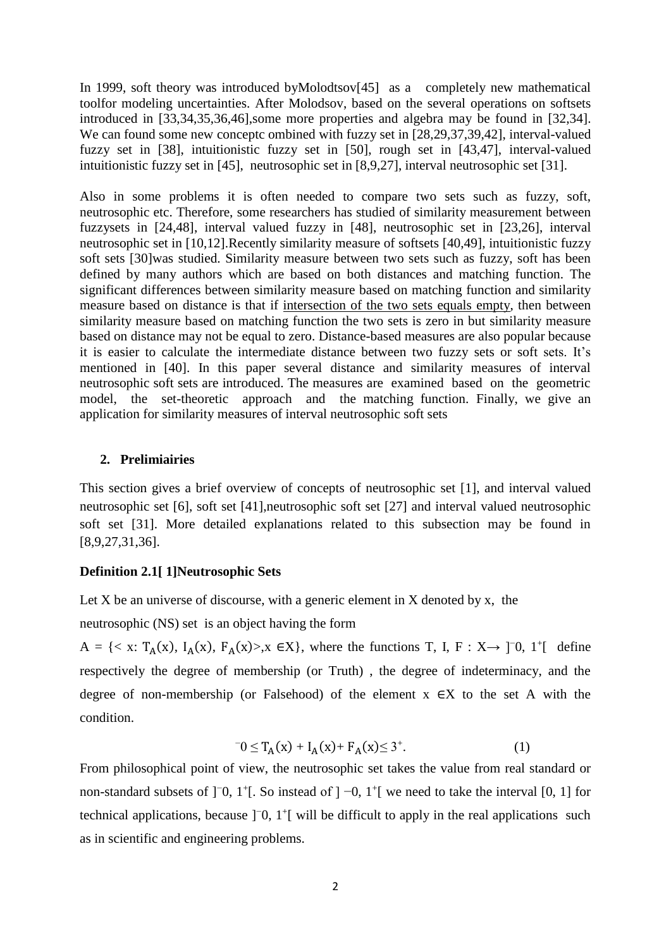In 1999, soft theory was introduced byMolodtsov[45] as a completely new mathematical toolfor modeling uncertainties. After Molodsov, based on the several operations on softsets introduced in [33,34,35,36,46],some more properties and algebra may be found in [32,34]. We can found some new conceptc ombined with fuzzy set in [28,29,37,39,42], interval-valued fuzzy set in [38], intuitionistic fuzzy set in [50], rough set in [43,47], interval-valued intuitionistic fuzzy set in [45], neutrosophic set in [8,9,27], interval neutrosophic set [31].

Also in some problems it is often needed to compare two sets such as fuzzy, soft, neutrosophic etc. Therefore, some researchers has studied of similarity measurement between fuzzysets in [24,48], interval valued fuzzy in [48], neutrosophic set in [23,26], interval neutrosophic set in [10,12].Recently similarity measure of softsets [40,49], intuitionistic fuzzy soft sets [30]was studied. Similarity measure between two sets such as fuzzy, soft has been defined by many authors which are based on both distances and matching function. The significant differences between similarity measure based on matching function and similarity measure based on distance is that if intersection of the two sets equals empty, then between similarity measure based on matching function the two sets is zero in but similarity measure based on distance may not be equal to zero. Distance-based measures are also popular because it is easier to calculate the intermediate distance between two fuzzy sets or soft sets. It's mentioned in [40]. In this paper several distance and similarity measures of interval neutrosophic soft sets are introduced. The measures are examined based on the geometric model, the set-theoretic approach and the matching function. Finally, we give an application for similarity measures of interval neutrosophic soft sets

## **2. Prelimiairies**

This section gives a brief overview of concepts of neutrosophic set [1], and interval valued neutrosophic set [6], soft set [41],neutrosophic soft set [27] and interval valued neutrosophic soft set [31]. More detailed explanations related to this subsection may be found in [8,9,27,31,36].

## **Definition 2.1[ 1]Neutrosophic Sets**

Let  $X$  be an universe of discourse, with a generic element in  $X$  denoted by  $x$ , the

neutrosophic (NS) set is an object having the form

A = {< x: T<sub>A</sub>(x), I<sub>A</sub>(x), F<sub>A</sub>(x)>,x ∈X}, where the functions T, I, F : X→ ]<sup>-0</sup>, 1<sup>+</sup>[ define respectively the degree of membership (or Truth) , the degree of indeterminacy, and the degree of non-membership (or Falsehood) of the element  $x \in X$  to the set A with the condition.

$$
T_0 \le T_A(x) + I_A(x) + F_A(x) \le 3^+.
$$
 (1)

From philosophical point of view, the neutrosophic set takes the value from real standard or non-standard subsets of ]<sup>−</sup>0, 1<sup>+</sup>[. So instead of ] −0, 1<sup>+</sup>[ we need to take the interval [0, 1] for technical applications, because ]<sup>−</sup>0, 1<sup>+</sup>[ will be difficult to apply in the real applications such as in scientific and engineering problems.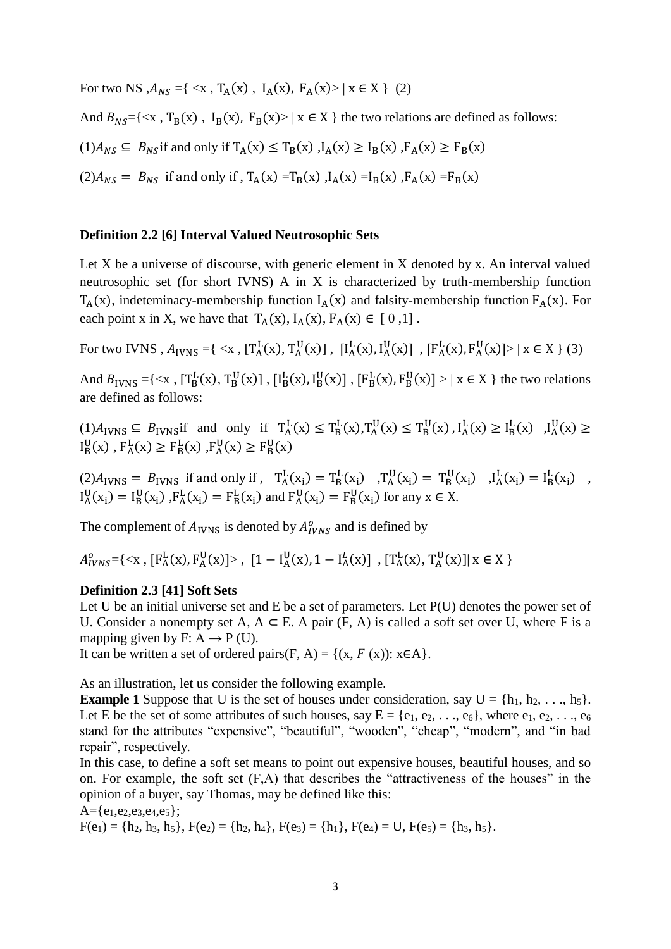For two NS , $A_{NS} = \{ \langle x, T_A(x), I_A(x), F_A(x) \rangle \mid x \in X \}$  (2)

And  $B_{NS} = \{ \langle x, T_B(x), I_B(x), F_B(x) \rangle \mid x \in X \}$  the two relations are defined as follows:

$$
(1)A_{NS} \subseteq B_{NS}
$$
 if and only if  $T_A(x) \le T_B(x)$ ,  $I_A(x) \ge I_B(x)$ ,  $F_A(x) \ge F_B(x)$ 

 $(2) A_{NS} = B_{NS}$  if and only if,  $T_A(x) = T_B(x)$ ,  $I_A(x) = I_B(x)$ ,  $F_A(x) = F_B(x)$ 

#### **Definition 2.2 [6] Interval Valued Neutrosophic Sets**

Let X be a universe of discourse, with generic element in X denoted by x. An interval valued neutrosophic set (for short IVNS) A in X is characterized by truth-membership function  $T_A(x)$ , indeteminacy-membership function  $I_A(x)$  and falsity-membership function  $F_A(x)$ . For each point x in X, we have that  $T_A(x)$ ,  $I_A(x)$ ,  $F_A(x) \in [0,1]$ .

For two IVNS ,  $A_{IVNS} = \{ \langle x, [\text{T}_A^L(x), \text{T}_A^U(x)] , [\text{I}_A^L(x), \text{I}_A^U(x)] , [\text{F}_A^L(x), \text{F}_A^U(x)] \rangle \mid x \in X \}$  (3)

And  $B_{IVNS} = \{ \langle x, [\text{T}_B^L(x), \text{T}_B^U(x)] , [\text{I}_B^L(x), \text{I}_B^U(x)] , [\text{F}_B^L(x), \text{F}_B^U(x)] \rangle \mid x \in X \}$  the two relations are defined as follows:

 $(1)A_{IVNS} \subseteq B_{IVNS}$  if and only if  $T_A^L(x) \le T_B^L(x)$ ,  $T_A^U(x) \le T_B^U(x)$ ,  $I_A^L(x) \ge I_B^L(x)$ ,  $I_A^U(x) \ge I_B^L(x)$  $I_B^U(x)$ ,  $F_A^L(x) \ge F_B^L(x)$ ,  $F_A^U(x) \ge F_B^U(x)$ 

 $(2)A_{IVNS} = B_{IVNS}$  if and only if,  $T_A^L(x_i) = T_B^L(x_i)$   $T_A^U(x_i) = T_B^U(x_i)$   $J_A^L(x_i) = I_B^L(x_i)$ ,  $I_A^U(x_i) = I_B^U(x_i)$ ,  $F_A^L(x_i) = F_B^L(x_i)$  and  $F_A^U(x_i) = F_B^U(x_i)$  for any  $x \in X$ .

The complement of  $A_{IVNS}$  is denoted by  $A_{IVNS}^o$  and is defined by

 $A_{IVNS}^o = \{ \langle x, [F_A^L(x), F_A^U(x)] \rangle, [1 - I_A^U(x), 1 - I_A^L(x)] , [T_A^L(x), T_A^U(x)] | x \in X \}$ 

## **Definition 2.3 [41] Soft Sets**

Let U be an initial universe set and E be a set of parameters. Let  $P(U)$  denotes the power set of U. Consider a nonempty set A,  $A \subseteq E$ . A pair (F, A) is called a soft set over U, where F is a mapping given by F:  $A \rightarrow P$  (U).

It can be written a set of ordered pairs(F, A) = { $(x, F(x))$ :  $x \in A$ }.

As an illustration, let us consider the following example.

**Example 1** Suppose that U is the set of houses under consideration, say  $U = \{h_1, h_2, \ldots, h_5\}$ . Let E be the set of some attributes of such houses, say  $E = \{e_1, e_2, \ldots, e_6\}$ , where  $e_1, e_2, \ldots, e_6$ stand for the attributes "expensive", "beautiful", "wooden", "cheap", "modern", and "in bad repair", respectively.

In this case, to define a soft set means to point out expensive houses, beautiful houses, and so on. For example, the soft set (F,A) that describes the "attractiveness of the houses" in the opinion of a buyer, say Thomas, may be defined like this:

 $A = \{e_1, e_2, e_3, e_4, e_5\};$ 

 $F(e_1) = \{h_2, h_3, h_5\}, F(e_2) = \{h_2, h_4\}, F(e_3) = \{h_1\}, F(e_4) = U, F(e_5) = \{h_3, h_5\}.$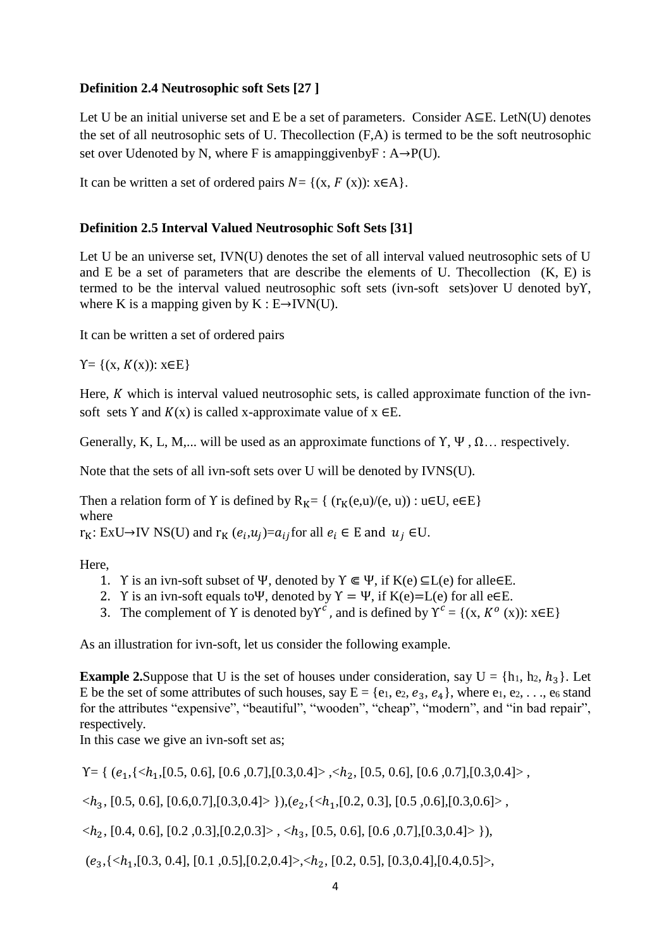## **Definition 2.4 Neutrosophic soft Sets [27 ]**

Let U be an initial universe set and E be a set of parameters. Consider A⊆E. LetN(U) denotes the set of all neutrosophic sets of U. Thecollection (F,A) is termed to be the soft neutrosophic set over Udenoted by N, where F is amappinggiven by  $F : A \rightarrow P(U)$ .

It can be written a set of ordered pairs  $N = \{(x, F(x)) : x \in A\}.$ 

## **Definition 2.5 Interval Valued Neutrosophic Soft Sets [31]**

Let U be an universe set, IVN(U) denotes the set of all interval valued neutrosophic sets of U and  $E$  be a set of parameters that are describe the elements of U. The collection  $(K, E)$  is termed to be the interval valued neutrosophic soft sets (ivn-soft sets)over U denoted byΥ, where K is a mapping given by  $K : E \rightarrow IVN(U)$ .

It can be written a set of ordered pairs

 $Y = \{(x, K(x)) : x \in E\}$ 

Here,  $K$  which is interval valued neutrosophic sets, is called approximate function of the ivnsoft sets Y and  $K(x)$  is called x-approximate value of  $x \in E$ .

Generally, K, L, M,... will be used as an approximate functions of  $\Upsilon$ ,  $\Psi$ ,  $\Omega$ ... respectively.

Note that the sets of all ivn-soft sets over U will be denoted by IVNS(U).

Then a relation form of Y is defined by  $R_K = \{ (r_K(e, u)/(e, u)) : u \in U, e \in E \}$ where

 $r_K: ExU \rightarrow IV$  NS(U) and  $r_K$   $(e_i, u_j) = a_{ij}$  for all  $e_i \in E$  and  $u_j \in U$ .

Here,

- 1. Y is an ivn-soft subset of Ψ, denoted by  $\Upsilon \in \Psi$ , if  $K(e) \subseteq L(e)$  for alle $\in E$ .
- 2. Y is an ivn-soft equals to Ψ, denoted by  $Y = \Psi$ , if K(e)=L(e) for all e $\in E$ .
- 3. The complement of Y is denoted by  $Y^c$ , and is defined by  $Y^c = \{(x, K^o(x)) : x \in E\}$

As an illustration for ivn-soft, let us consider the following example.

**Example 2.**Suppose that U is the set of houses under consideration, say  $U = \{h_1, h_2, h_3\}$ . Let E be the set of some attributes of such houses, say  $E = \{e_1, e_2, e_3, e_4\}$ , where  $e_1, e_2, \ldots, e_6$  stand for the attributes "expensive", "beautiful", "wooden", "cheap", "modern", and "in bad repair", respectively.

In this case we give an ivn-soft set as;

 $Y = \{ (e_1, \{ \langle h_1, [0.5, 0.6], [0.6, 0.7], [0.3, 0.4] \rangle, \langle h_2, [0.5, 0.6], [0.6, 0.7], [0.3, 0.4] \rangle, \}$ 

 $\langle h_3, [0.5, 0.6], [0.6, 0.7], [0.3, 0.4] \rangle \}$ , $(e_2, \{ \langle h_1, [0.2, 0.3], [0.5, 0.6], [0.3, 0.6] \rangle \}$ 

 $\langle h_2, [0.4, 0.6], [0.2, 0.3], [0.2, 0.3] \rangle, \langle h_3, [0.5, 0.6], [0.6, 0.7], [0.3, 0.4] \rangle \}$ 

 $(e_3, \{$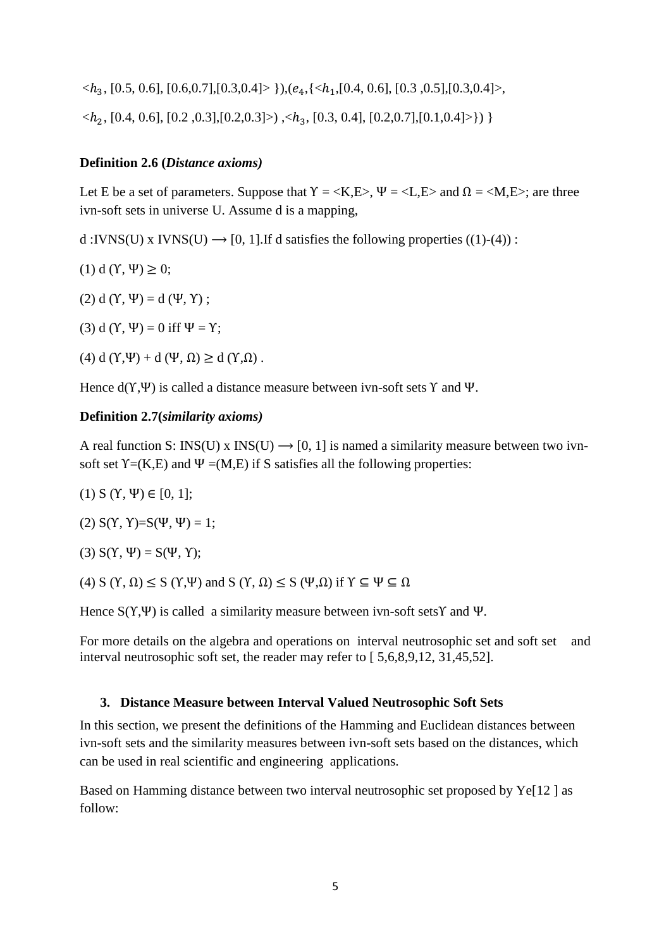$\langle h_3, [0.5, 0.6], [0.6, 0.7], [0.3, 0.4] \rangle \}, (e_4, \{ \langle h_1, [0.4, 0.6], [0.3, 0.5], [0.3, 0.4] \rangle,$  $\langle h_2, [0.4, 0.6], [0.2, 0.3], [0.2, 0.3] \rangle, \langle h_3, [0.3, 0.4], [0.2, 0.7], [0.1, 0.4] \rangle)$ 

## **Definition 2.6 (***Distance axioms)*

Let E be a set of parameters. Suppose that  $Y = \langle K, E \rangle$ ,  $\Psi = \langle L, E \rangle$  and  $\Omega = \langle M, E \rangle$ ; are three ivn-soft sets in universe U. Assume d is a mapping,

d :IVNS(U) x IVNS(U)  $\rightarrow$  [0, 1]. If d satisfies the following properties ((1)-(4)) :

(1) d ( $\Upsilon$ , Ψ)  $\geq$  0;

(2) d ( $Y$ ,  $\Psi$ ) = d ( $\Psi$ ,  $Y$ );

(3) d ( $\Upsilon$ ,  $\Psi$ ) = 0 iff  $\Psi$  =  $\Upsilon$ ;

(4) d ( $Y, \Psi$ ) + d ( $\Psi, \Omega$ )  $\geq$  d ( $Y, \Omega$ ).

Hence  $d(Y, \Psi)$  is called a distance measure between ivn-soft sets  $Y$  and  $\Psi$ .

## **Definition 2.7(***similarity axioms)*

A real function S: INS(U) x INS(U)  $\rightarrow$  [0, 1] is named a similarity measure between two ivnsoft set  $Y=(K,E)$  and  $\Psi=(M,E)$  if S satisfies all the following properties:

(1)  $S(Y, \Psi) \in [0, 1];$ 

(2)  $S(Y, Y)=S(\Psi, \Psi) = 1;$ 

(3)  $S(Y, \Psi) = S(\Psi, Y);$ 

(4) S (Y,  $\Omega$ )  $\leq$  S (Y, Ψ) and S (Y,  $\Omega$ )  $\leq$  S (Ψ,  $\Omega$ ) if  $Y \subseteq \Psi \subseteq \Omega$ 

Hence S(Υ,Ψ) is called a similarity measure between ivn-soft setsΥ and Ψ.

For more details on the algebra and operations on interval neutrosophic set and soft set and interval neutrosophic soft set, the reader may refer to [ 5,6,8,9,12, 31,45,52].

## **3. Distance Measure between Interval Valued Neutrosophic Soft Sets**

In this section, we present the definitions of the Hamming and Euclidean distances between ivn-soft sets and the similarity measures between ivn-soft sets based on the distances, which can be used in real scientific and engineering applications.

Based on Hamming distance between two interval neutrosophic set proposed by Ye[12 ] as follow: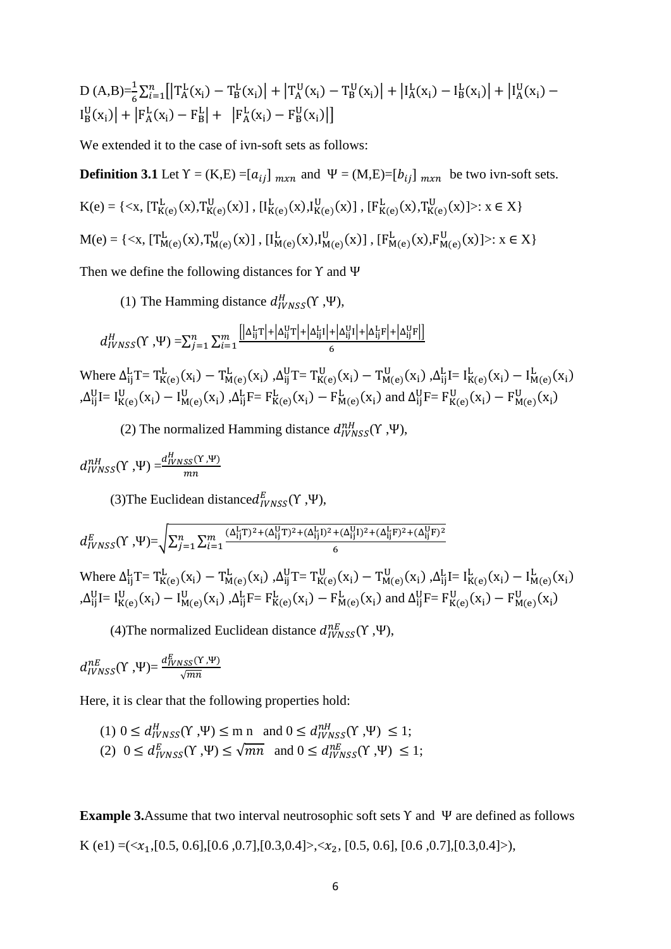D (A,B)=
$$
\frac{1}{6}\sum_{i=1}^{n} [T_A^L(x_i) - T_B^L(x_i)] + [T_A^U(x_i) - T_B^U(x_i)] + [I_A^L(x_i) - I_B^L(x_i)] + [I_A^U(x_i) - I_B^U(x_i)] + [F_A^L(x_i) - F_B^L] + [F_A^L(x_i) - F_B^U(x_i)]]
$$

We extended it to the case of ivn-soft sets as follows:

**Definition 3.1** Let  $Y = (K,E) = [a_{ij}]_{m \times n}$  and  $\Psi = (M,E) = [b_{ij}]_{m \times n}$  be two ivn-soft sets.  $K(e) = \{ \langle x, [\mathcal{T}^{\mathcal{L}}_{K(e)}(x), \mathcal{T}^{\mathcal{U}}_{K(e)}(x) ], [\mathcal{L}^{\mathcal{L}}_{K(e)}(x), \mathcal{L}^{\mathcal{U}}_{K(e)}(x) ], [\mathcal{F}^{\mathcal{L}}_{K(e)}(x), \mathcal{T}^{\mathcal{U}}_{K(e)}(x)] \rangle : x \in X \}$  $M(e) = \{ \langle x, [T_{M(e)}^L(x), T_{M(e)}^U(x)] , [I_{M(e)}^L(x), I_{M(e)}^U(x)] , [F_{M(e)}^L(x), F_{M(e)}^U(x)] \rangle : x \in X \}$ 

Then we define the following distances for  $\Upsilon$  and  $\Psi$ 

(1) The Hamming distance  $d_{IVNSS}^H(Y, \Psi)$ ,

$$
d_{IVNSS}^H(Y, \Psi) = \sum_{j=1}^n \sum_{i=1}^m \frac{\left[|\Delta_{ij}^L \Upsilon| + |\Delta_{ij}^U \Upsilon| + |\Delta_{ij}^U \Upsilon| + |\Delta_{ij}^U \Upsilon| + |\Delta_{ij}^U \F| + |\Delta_{ij}^U \F| \right]}{6}
$$

Where  $\Delta_{ij}^L T = T_{K(e)}^L (x_i) - T_{M(e)}^L (x_i)$ ,  $\Delta_{ij}^U T = T_{K(e)}^U (x_i) - T_{M(e)}^U (x_i)$ ,  $\Delta_{ij}^L I = I_{K(e)}^L (x_i) - I_{M(e)}^L (x_i)$ , $\Delta_{ij}^{U}I=I_{K(e)}^{U}(x_i)-I_{M(e)}^{U}(x_i)$ ,  $\Delta_{ij}^{L}F= F_{K(e)}^{L}(x_i)-F_{M(e)}^{L}(x_i)$  and  $\Delta_{ij}^{U}F= F_{K(e)}^{U}(x_i)-F_{M(e)}^{U}(x_i)$ 

(2) The normalized Hamming distance  $d_{IVNSS}^{nH}(Y, \Psi)$ ,

$$
d_{IVNSS}^{nH}(\Upsilon, \Psi) = \frac{d_{IVNSS}^{H}(\Upsilon, \Psi)}{mn}
$$

(3) The Euclidean distance  $d_{IVNSS}^E(Y, \Psi)$ ,

$$
d_{IVNSS}^{E}(Y, \Psi) = \sqrt{\sum_{j=1}^{n} \sum_{i=1}^{m} \frac{(\Delta_{ij}^{L}T)^{2} + (\Delta_{ij}^{U}T)^{2} + (\Delta_{ij}^{L}I)^{2} + (\Delta_{ij}^{U}I)^{2} + (\Delta_{ij}^{L}F)^{2} + (\Delta_{ij}^{U}F)^{2}}}{6}}
$$

Where  $\Delta_{ij}^L T = T_{K(e)}^L (x_i) - T_{M(e)}^L (x_i)$ ,  $\Delta_{ij}^U T = T_{K(e)}^U (x_i) - T_{M(e)}^U (x_i)$ ,  $\Delta_{ij}^L I = I_{K(e)}^L (x_i) - I_{M(e)}^L (x_i)$ , $\Delta_{ij}^{U}I=I_{K(e)}^{U}(x_i)-I_{M(e)}^{U}(x_i)$ ,  $\Delta_{ij}^{L}F= F_{K(e)}^{L}(x_i)-F_{M(e)}^{L}(x_i)$  and  $\Delta_{ij}^{U}F= F_{K(e)}^{U}(x_i)-F_{M(e)}^{U}(x_i)$ 

(4) The normalized Euclidean distance  $d_{IVNSS}^{nE}(Y, \Psi)$ ,

$$
d_{IVNSS}^{nE}(\Upsilon, \Psi) = \frac{d_{IVNSS}^{E}(\Upsilon, \Psi)}{\sqrt{mn}}
$$

Here, it is clear that the following properties hold:

(1) 
$$
0 \le d_{IVNSS}^H(Y, \Psi) \le m n
$$
 and  $0 \le d_{IVNSS}^{nH}(Y, \Psi) \le 1$ ;  
(2)  $0 \le d_{IVNSS}^E(Y, \Psi) \le \sqrt{mn}$  and  $0 \le d_{IVNSS}^{nE}(Y, \Psi) \le 1$ ;

**Example 3.**Assume that two interval neutrosophic soft sets Υ and Ψ are defined as follows K (e1) =( $\langle x_1, [0.5, 0.6], [0.6, 0.7], [0.3, 0.4] \rangle, \langle x_2, [0.5, 0.6], [0.6, 0.7], [0.3, 0.4] \rangle)$ ,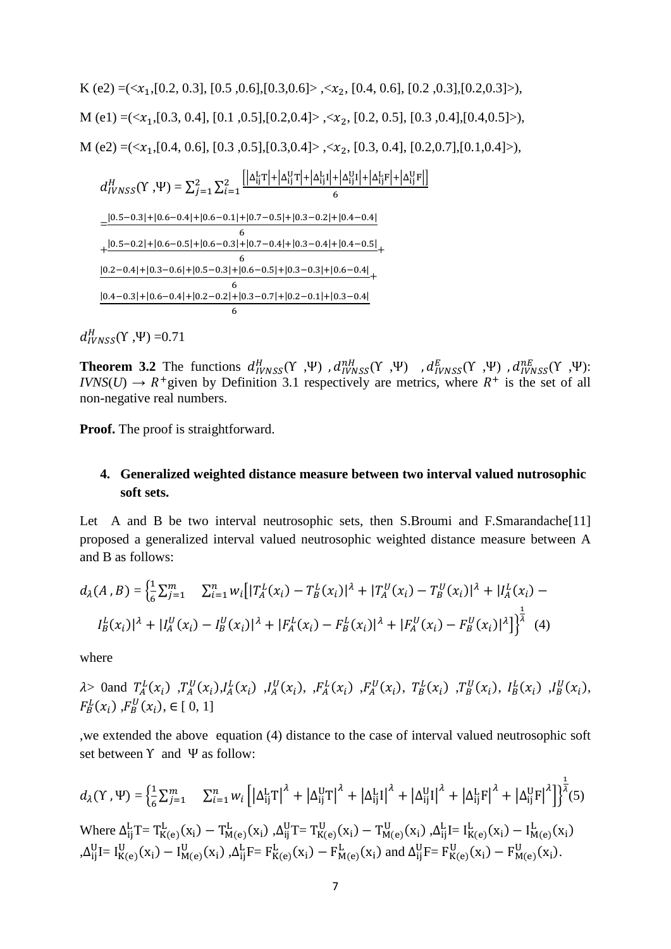K (e2) =  $(\langle x_1, [0.2, 0.3], [0.5, 0.6], [0.3, 0.6] \rangle, \langle x_2, [0.4, 0.6], [0.2, 0.3], [0.2, 0.3] \rangle),$ M (e1) =  $(\langle x_1, [0.3, 0.4], [0.1, 0.5], [0.2, 0.4], \langle x_2, [0.2, 0.5], [0.3, 0.4], [0.4, 0.5] \rangle)$ , M (e2) =  $(\langle x_1, [0.4, 0.6], [0.3, 0.5], [0.3, 0.4], \langle x_2, [0.3, 0.4], [0.2, 0.7], [0.1, 0.4], \rangle)$ ,

$$
d_{IVNSS}^{H}(Y, \Psi) = \sum_{j=1}^{2} \sum_{i=1}^{2} \frac{\left| \left| \Delta_{ij}^{L}T \right| + \left| \Delta_{ij}^{U}T \right| + \left| \Delta_{ij}^{U}I \right| + \left| \Delta_{ij}^{U}F \right| + \left| \Delta_{ij}^{U}F \right| + \left| \Delta_{ij}^{U}F \right| \right|}{6}
$$
\n
$$
= \frac{|0.5 - 0.3| + |0.6 - 0.4| + |0.6 - 0.1| + |0.7 - 0.5| + |0.3 - 0.2| + |0.4 - 0.4|}{6}
$$
\n
$$
+ \frac{|0.5 - 0.2| + |0.6 - 0.5| + |0.6 - 0.3| + |0.7 - 0.4| + |0.3 - 0.4| + |0.4 - 0.5|}{6}
$$
\n
$$
= \frac{|0.2 - 0.4| + |0.3 - 0.6| + |0.5 - 0.3| + |0.6 - 0.5| + |0.3 - 0.3| + |0.6 - 0.4|}{6}
$$
\n
$$
= \frac{|0.4 - 0.3| + |0.6 - 0.4| + |0.2 - 0.2| + |0.3 - 0.7| + |0.2 - 0.1| + |0.3 - 0.4|}{6}
$$

 $d_{IVNSS}^{H}(Y, \Psi) = 0.71$ 

**Theorem 3.2** The functions  $d_{IVNSS}^H(Y, \Psi)$ ,  $d_{IVNSS}^{nH}(Y, \Psi)$ ,  $d_{IVNSS}^E(Y, \Psi)$ ,  $d_{IVNSS}^{nE}(Y, \Psi)$ :  $IVNS(U) \rightarrow R^+$ given by Definition 3.1 respectively are metrics, where  $R^+$  is the set of all non-negative real numbers.

**Proof.** The proof is straightforward.

## **4. Generalized weighted distance measure between two interval valued nutrosophic soft sets.**

Let A and B be two interval neutrosophic sets, then S.Broumi and F.Smarandache<sup>[11]</sup> proposed a generalized interval valued neutrosophic weighted distance measure between A and B as follows:

$$
d_{\lambda}(A, B) = \left\{ \frac{1}{6} \sum_{j=1}^{m} \sum_{i=1}^{n} w_{i} \left[ |T_{A}^{L}(x_{i}) - T_{B}^{L}(x_{i})|^{2} + |T_{A}^{U}(x_{i}) - T_{B}^{U}(x_{i})|^{2} + |I_{A}^{L}(x_{i}) - I_{B}^{L}(x_{i})|^{2} + |I_{A}^{U}(x_{i}) - I_{B}^{U}(x_{i})|^{2} + |F_{A}^{L}(x_{i}) - F_{B}^{L}(x_{i})|^{2} + |F_{A}^{U}(x_{i}) - F_{B}^{U}(x_{i})|^{2} \right\}^{\frac{1}{2}} \tag{4}
$$

where

 $\lambda$ > 0and  $T_A^L(x_i)$ ,  $T_A^U(x_i)$ ,  $I_A^L(x_i)$ ,  $I_A^U(x_i)$ ,  $F_A^L(x_i)$ ,  $F_A^U(x_i)$ ,  $T_B^L(x_i)$ ,  $T_B^U(x_i)$ ,  $I_B^L(x_i)$ ,  $I_B^U(x_i)$ ,  $F_B^L(x_i)$ ,  $F_B^U(x_i)$ ,  $\in [0, 1]$ 

,we extended the above equation (4) distance to the case of interval valued neutrosophic soft set between  $Y$  and  $\Psi$  as follow:

$$
d_{\lambda}(Y, \Psi) = \left\{ \frac{1}{6} \sum_{j=1}^{m} \sum_{i=1}^{n} w_{i} \left[ \left| \Delta_{ij}^{L} T \right|^{2} + \left| \Delta_{ij}^{U} T \right|^{2} + \left| \Delta_{ij}^{L} I \right|^{2} + \left| \Delta_{ij}^{U} I \right|^{2} + \left| \Delta_{ij}^{L} F \right|^{2} + \left| \Delta_{ij}^{U} F \right|^{2} \right] \right\}^{\frac{1}{4}}(5)
$$
\n
$$
\text{Where } \Delta_{ij}^{L} T = T_{K(e)}^{L}(x_{i}) - T_{M(e)}^{L}(x_{i}) , \Delta_{ij}^{U} T = T_{K(e)}^{U}(x_{i}) - T_{M(e)}^{U}(x_{i}) , \Delta_{ij}^{L} I = I_{K(e)}^{L}(x_{i}) - I_{M(e)}^{L}(x_{i})
$$
\n
$$
\Delta_{ij}^{U} I = I_{K(e)}^{U}(x_{i}) - I_{M(e)}^{U}(x_{i}) , \Delta_{ij}^{L} F = F_{K(e)}^{L}(x_{i}) - F_{M(e)}^{L}(x_{i}) \text{ and } \Delta_{ij}^{U} F = F_{K(e)}^{U}(x_{i}) - F_{M(e)}^{U}(x_{i}).
$$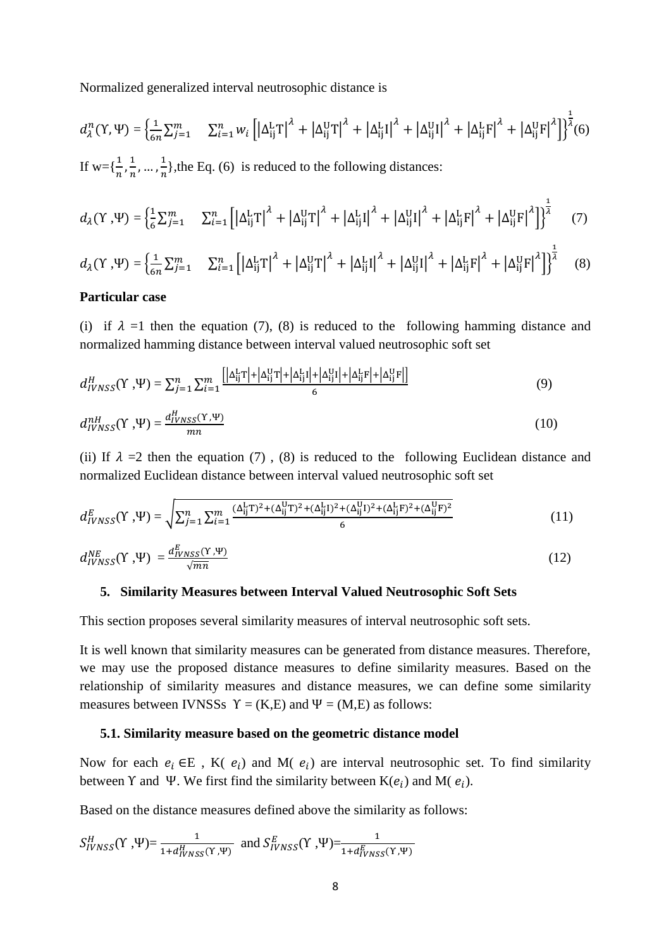Normalized generalized interval neutrosophic distance is

$$
d_{\lambda}^{n}(Y,\Psi) = \left\{ \frac{1}{6n} \sum_{j=1}^{m} \sum_{i=1}^{n} w_{i} \left[ \left| \Delta_{ij}^{L} T \right|^{\lambda} + \left| \Delta_{ij}^{U} T \right|^{\lambda} + \left| \Delta_{ij}^{L} I \right|^{\lambda} + \left| \Delta_{ij}^{U} I \right|^{\lambda} + \left| \Delta_{ij}^{U} F \right|^{\lambda} + \left| \Delta_{ij}^{U} F \right|^{\lambda} \right\} \right\}^{\frac{1}{\lambda}}(6)
$$
  
If  $w = \left\{ \frac{1}{n}, \frac{1}{n}, ..., \frac{1}{n} \right\}$ , the Eq. (6) is reduced to the following distances:

$$
d_{\lambda}(Y, \Psi) = \left\{ \frac{1}{6} \sum_{j=1}^{m} \sum_{i=1}^{n} \left[ \left| \Delta_{ij}^{L} T \right|^{2} + \left| \Delta_{ij}^{U} T \right|^{2} + \left| \Delta_{ij}^{L} I \right|^{2} + \left| \Delta_{ij}^{U} I \right|^{2} + \left| \Delta_{ij}^{L} F \right|^{2} + \left| \Delta_{ij}^{U} F \right|^{2} \right] \right\}^{\frac{1}{4}} \tag{7}
$$

$$
d_{\lambda}(Y, \Psi) = \left\{ \frac{1}{6n} \sum_{j=1}^{m} \sum_{i=1}^{n} \left[ \left| \Delta_{ij}^{L} T \right|^{2} + \left| \Delta_{ij}^{U} T \right|^{2} + \left| \Delta_{ij}^{L} I \right|^{2} + \left| \Delta_{ij}^{U} I \right|^{2} + \left| \Delta_{ij}^{L} F \right|^{2} + \left| \Delta_{ij}^{U} F \right|^{2} \right] \right\}^{\frac{1}{\lambda}}
$$
(8)

#### **Particular case**

(i) if  $\lambda =1$  then the equation (7), (8) is reduced to the following hamming distance and normalized hamming distance between interval valued neutrosophic soft set

$$
d_{IVNSS}^H(\Upsilon, \Psi) = \sum_{j=1}^n \sum_{i=1}^m \frac{\left[ |\Delta_{ij}^L \Upsilon| + |\Delta_{ij}^U \Upsilon| + |\Delta_{ij}^L \Upsilon| + |\Delta_{ij}^L \Upsilon| + |\Delta_{ij}^L \F| + |\Delta_{ij}^U \F| \right]}{6} \tag{9}
$$

$$
d_{IVNSS}^{nH}(\Upsilon, \Psi) = \frac{d_{IVNSS}^{H}(\Upsilon, \Psi)}{mn}
$$
 (10)

(ii) If  $\lambda = 2$  then the equation (7), (8) is reduced to the following Euclidean distance and normalized Euclidean distance between interval valued neutrosophic soft set

$$
d_{IVNSS}^{E}(Y, \Psi) = \sqrt{\sum_{j=1}^{n} \sum_{i=1}^{m} \frac{(\Delta_{ij}^{L}T)^{2} + (\Delta_{ij}^{U}T)^{2} + (\Delta_{ij}^{L}I)^{2} + (\Delta_{ij}^{U}I)^{2} + (\Delta_{ij}^{L}F)^{2} + (\Delta_{ij}^{U}F)^{2}}{6}}
$$
(11)

$$
d_{IVNSS}^{NE}(\Upsilon, \Psi) = \frac{d_{IVNSS}^{E}(\Upsilon, \Psi)}{\sqrt{mn}} \tag{12}
$$

#### **5. Similarity Measures between Interval Valued Neutrosophic Soft Sets**

This section proposes several similarity measures of interval neutrosophic soft sets.

It is well known that similarity measures can be generated from distance measures. Therefore, we may use the proposed distance measures to define similarity measures. Based on the relationship of similarity measures and distance measures, we can define some similarity measures between IVNSSs  $Y = (K,E)$  and  $\Psi = (M,E)$  as follows:

#### **5.1. Similarity measure based on the geometric distance model**

Now for each  $e_i \in E$ , K( $e_i$ ) and M( $e_i$ ) are interval neutrosophic set. To find similarity between Y and Ψ. We first find the similarity between  $K(e_i)$  and  $M(e_i)$ .

Based on the distance measures defined above the similarity as follows:

$$
S_{IVNSS}^{H}(\Upsilon, \Psi) = \frac{1}{1 + d_{IVNSS}^{H}(\Upsilon, \Psi)} \text{ and } S_{IVNSS}^{E}(\Upsilon, \Psi) = \frac{1}{1 + d_{IVNSS}^{E}(\Upsilon, \Psi)}
$$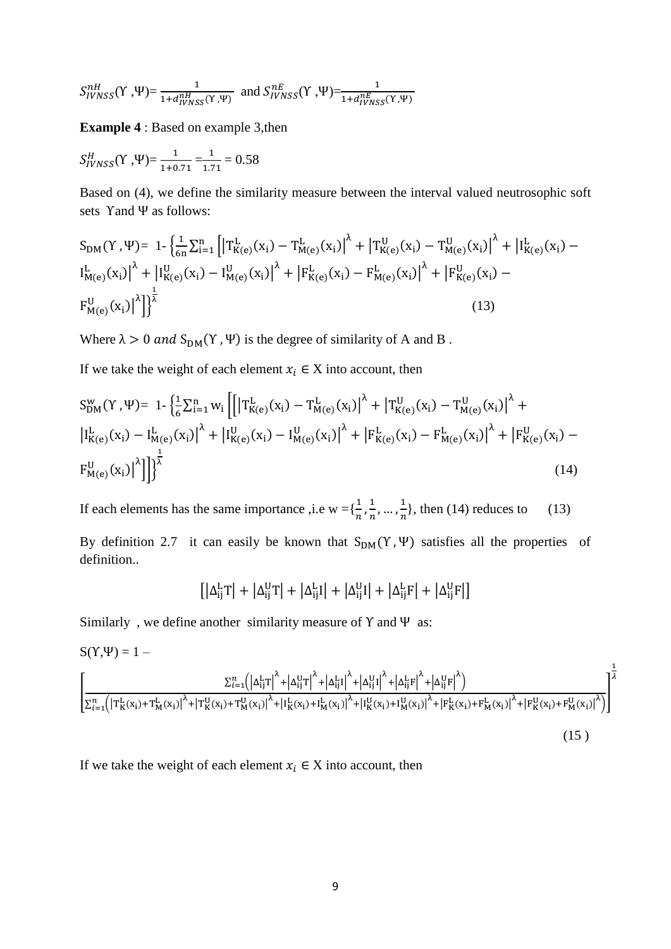$$
S_{IVNSS}^{nH}(Y, \Psi) = \frac{1}{1 + d_{IVNSS}^{nH}(Y, \Psi)} \text{ and } S_{IVNSS}^{nE}(Y, \Psi) = \frac{1}{1 + d_{IVNSS}^{nE}(Y, \Psi)}
$$

**Example 4** : Based on example 3,then

$$
S_{IVNSS}^{H}(Y, \Psi) = \frac{1}{1+0.71} = \frac{1}{1.71} = 0.58
$$

Based on (4), we define the similarity measure between the interval valued neutrosophic soft sets Υand Ψ as follows:

$$
S_{DM}(Y, \Psi) = 1 - \left\{ \frac{1}{6n} \sum_{i=1}^{n} \left[ \left| T_{K(e)}^{L}(x_{i}) - T_{M(e)}^{L}(x_{i}) \right|^{2} + \left| T_{K(e)}^{U}(x_{i}) - T_{M(e)}^{U}(x_{i}) \right|^{2} + \left| I_{K(e)}^{L}(x_{i}) - I_{M(e)}^{L}(x_{i}) \right|^{2} \right] + \left| I_{K(e)}^{L}(x_{i}) - I_{M(e)}^{U}(x_{i}) \right|^{2} + \left| F_{K(e)}^{L}(x_{i}) - F_{M(e)}^{L}(x_{i}) \right|^{2} + \left| F_{K(e)}^{U}(x_{i}) - F_{M(e)}^{U}(x_{i}) \right|^{2} \right\}
$$
\n
$$
(13)
$$

Where  $\lambda > 0$  and  $S_{DM}(Y, \Psi)$  is the degree of similarity of A and B.

If we take the weight of each element  $x_i \in X$  into account, then

$$
S_{DM}^{w}(Y,\Psi) = 1 - \left\{ \frac{1}{6} \sum_{i=1}^{n} w_{i} \left[ \left| T_{K(e)}^{L}(x_{i}) - T_{M(e)}^{L}(x_{i}) \right|^{2} + \left| T_{K(e)}^{U}(x_{i}) - T_{M(e)}^{U}(x_{i}) \right|^{2} + \left| T_{K(e)}^{L}(x_{i}) - T_{M(e)}^{L}(x_{i}) \right|^{2} + \left| T_{K(e)}^{L}(x_{i}) - T_{M(e)}^{L}(x_{i}) \right|^{2} + \left| F_{K(e)}^{L}(x_{i}) - F_{M(e)}^{L}(x_{i}) \right|^{2} + \left| F_{K(e)}^{U}(x_{i}) - F_{M(e)}^{L}(x_{i}) \right|^{2} \right\} + \left\{ \frac{1}{6} \sum_{i=1}^{n} w_{i} \left[ \left| T_{K(e)}^{L}(x_{i}) - T_{M(e)}^{L}(x_{i}) \right|^{2} + \left| T_{K(e)}^{L}(x_{i}) - T_{M(e)}^{L}(x_{i}) \right|^{2} \right] \right\} + \left\{ \frac{1}{6} \sum_{i=1}^{n} w_{i} \left[ \left| T_{K(e)}^{L}(x_{i}) - T_{M(e)}^{L}(x_{i}) \right|^{2} + \left| T_{K(e)}^{L}(x_{i}) - T_{M(e)}^{L}(x_{i}) \right|^{2} + \left| T_{K(e)}^{L}(x_{i}) - T_{M(e)}^{L}(x_{i}) \right|^{2} \right] \right\} + \left\{ \frac{1}{6} \sum_{i=1}^{n} w_{i} \left[ \left| T_{K(e)}^{L}(x_{i}) - T_{M(e)}^{L}(x_{i}) \right|^{2} + \left| T_{K(e)}^{L}(x_{i}) - T_{M(e)}^{L}(x_{i}) \right|^{2} + \left| T_{K(e)}^{L}(x_{i}) - T_{M(e)}^{L}(x_{i}) \right|^{2} \right] \right\} + \left\{ \frac{1}{6} \sum_{i=1}^{n} w_{i} \left[ \left| T_{K(e)}^{L}(x_{i}) - T_{M(e)}^{L}(x_{i}) \right|^{2} + \left| T_{K(e)}^{L}(x_{i}) - T_{M(e)}^{L}(x_{i}) \right|^{2} + \left| T_{K(e)}^{L}(x_{i}) - T_{M
$$

If each elements has the same importance , i.e w = { $\frac{1}{n}$ ,  $\frac{1}{n}$  $\frac{1}{n}, \ldots, \frac{1}{n}$  $\frac{1}{n}$ , then (14) reduces to (13)

By definition 2.7 it can easily be known that  $S_{DM}(Y, \Psi)$  satisfies all the properties of definition..

$$
\left[\left|\Delta_{ij}^L T\right|+\left|\Delta_{ij}^U T\right|+\left|\Delta_{ij}^L I\right|+\left|\Delta_{ij}^U I\right|+\left|\Delta_{ij}^L F\right|+\left|\Delta_{ij}^U F\right|\right]
$$

Similarly, we define another similarity measure of  $\Upsilon$  and  $\Psi$  as:

$$
S(Y, \Psi) = 1 - \frac{\sum_{i=1}^{n} (|\Delta_{ij}^{L}T|^{\lambda} + |\Delta_{ij}^{U}T|^{\lambda} + |\Delta_{ij}^{U}I|^{\lambda} + |\Delta_{ij}^{U}F|^{\lambda} + |\Delta_{ij}^{U}F|^{\lambda})}{\sum_{i=1}^{n} (|T_{K}^{L}(x_{i}) + T_{M}^{L}(x_{i})|^{2} + |T_{K}^{U}(x_{i}) + T_{M}^{U}(x_{i})|^{2} + |I_{K}^{L}(x_{i}) + I_{M}^{L}(x_{i})|^{2} + |I_{K}^{U}(x_{i}) + I_{M}^{U}(x_{i})|^{2} + |F_{K}^{L}(x_{i}) + F_{M}^{L}(x_{i})|^{2} + |F_{K}^{U}(x_{i}) + F_{M}^{U}(x_{i})|^{2}})} \Bigg|^{\frac{1}{\lambda}}
$$
\n(15)

If we take the weight of each element  $x_i \in X$  into account, then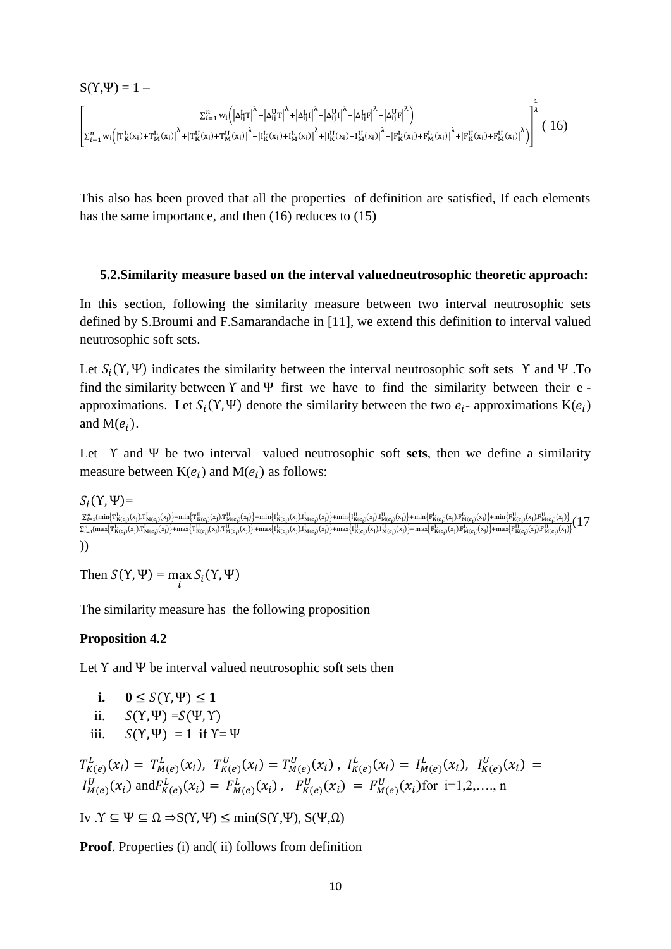$$
S(Y,\Psi) = 1 - \sum_{\sum_{i=1}^{n} w_i \left( \left| \Delta_{ij}^L T \right|^{\lambda} + \left| \Delta_{ij}^U T \right|^{\lambda} + \left| \Delta_{ij}^U I \right|^{\lambda} + \left| \Delta_{ij}^U I \right|^{\lambda} + \left| \Delta_{ij}^U F \right|^{\lambda} \right)} \frac{\sum_{i=1}^{n} w_i \left( \left| \Delta_{ij}^L T \right|^{\lambda} + \left| \Delta_{ij}^U T \right|^{\lambda} + \left| \Delta_{ij}^U I \right|^{\lambda} + \left| \Delta_{ij}^U F \right|^{\lambda} + \left| \Delta_{ij}^U F \right|^{\lambda} \right)}{\sum_{i=1}^{n} w_i \left( \left| T_K^L (x_i) + T_M^L (x_i) + T_M^U (x_i) \right|^{\lambda} + \left| T_K^L (x_i) + T_M^L (x_i) \right|^{\lambda} + \left| T_K^L (x_i) + T_M^L (x_i) \right|^{\lambda} + \left| T_K^L (x_i) + T_M^L (x_i) \right|^{\lambda} + \left| T_K^L (x_i) + T_M^L (x_i) \right|^{\lambda} \right)} \right|^{2} (16)
$$

This also has been proved that all the properties of definition are satisfied, If each elements has the same importance, and then (16) reduces to (15)

#### **5.2.Similarity measure based on the interval valuedneutrosophic theoretic approach:**

In this section, following the similarity measure between two interval neutrosophic sets defined by S.Broumi and F.Samarandache in [11], we extend this definition to interval valued neutrosophic soft sets.

Let  $S_i(Y, \Psi)$  indicates the similarity between the interval neutrosophic soft sets Y and  $\Psi$ . To find the similarity between  $\Upsilon$  and  $\Psi$  first we have to find the similarity between their e approximations. Let  $S_i(Y, \Psi)$  denote the similarity between the two  $e_i$ - approximations  $K(e_i)$ and  $M(e_i)$ .

Let Υ and Ψ be two interval valued neutrosophic soft **sets**, then we define a similarity measure between  $K(e_i)$  and  $M(e_i)$  as follows:

 $S_i(Y,\Psi)$ =  $\frac{\Sigma_{l=1}^n(\min\{T^k_{K(e_l)}(x_l),T^k_{M(e_l)}(x_l)\}+\min\{T^U_{K(e_l)}(x_l),T^W_{M(e_l)}(x_l)\}+\min\{i^k_{K(e_l)}(x_l),I^k_{M(e_l)}(x_l)\}+\min\{i^k_{K(e_l)}(x_l),I^k_{M(e_l)}(x_l)\}+\min\{i^k_{K(e_l)}(x_l),I^W_{M(e_l)}(x_l)\}+\min\{i^k_{K(e_l)}(x_l),I^k_{M(e_l)}(x_l)\}+\min\{i^k_{K(e_l)}(x_l),I^k_{M(e_l)}(x_l)\}+\min\{i^$ ))

Then  $S(Y, \Psi) = \max_i S_i(Y, \Psi)$ 

The similarity measure has the following proposition

#### **Proposition 4.2**

Let  $\Upsilon$  and  $\Psi$  be interval valued neutrosophic soft sets then

- **i.**  $0 \leq S(Y, \Psi) \leq 1$
- ii.  $S(Y, \Psi) = S(\Psi, Y)$
- iii.  $S(Y, \Psi) = 1$  if  $Y = \Psi$

$$
T_{K(e)}^L(x_i) = T_{M(e)}^L(x_i), \ T_{K(e)}^U(x_i) = T_{M(e)}^U(x_i), \ I_{K(e)}^L(x_i) = I_{M(e)}^L(x_i), \ I_{K(e)}^U(x_i) = I_{M(e)}^U(x_i)
$$
  

$$
I_{M(e)}^U(x_i) \text{ and } F_{K(e)}^L(x_i) = F_{M(e)}^L(x_i), \ F_{K(e)}^U(x_i) = F_{M(e)}^U(x_i) \text{ for } i=1,2,...,n
$$

Iv  $\Upsilon \subseteq \Psi \subseteq \Omega \Rightarrow S(\Upsilon, \Psi) \le \min(S(\Upsilon, \Psi), S(\Psi, \Omega))$ 

**Proof.** Properties (i) and (ii) follows from definition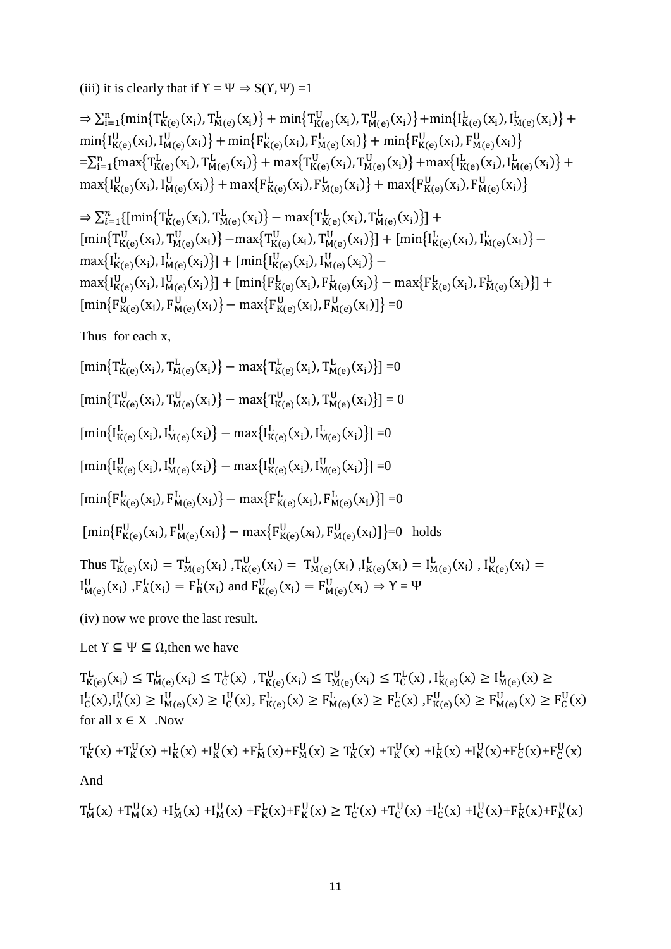(iii) it is clearly that if  $Y = \Psi \Rightarrow S(Y, \Psi) = 1$ 

$$
\Rightarrow \sum_{i=1}^{n} \{ \min \{ T_{K(e)}^{L}(x_{i}), T_{M(e)}^{L}(x_{i}) \} + \min \{ T_{K(e)}^{U}(x_{i}), T_{M(e)}^{U}(x_{i}) \} + \min \{ I_{K(e)}^{L}(x_{i}), I_{M(e)}^{L}(x_{i}) \} + \min \{ I_{K(e)}^{U}(x_{i}), I_{M(e)}^{U}(x_{i}) \} + \min \{ F_{K(e)}^{L}(x_{i}), F_{M(e)}^{L}(x_{i}) \} + \min \{ F_{K(e)}^{U}(x_{i}), F_{M(e)}^{U}(x_{i}) \} + \max \{ T_{K(e)}^{L}(x_{i}), T_{M(e)}^{L}(x_{i}) \} + \max \{ I_{K(e)}^{L}(x_{i}), I_{M(e)}^{L}(x_{i}) \} + \max \{ I_{K(e)}^{U}(x_{i}), I_{M(e)}^{U}(x_{i}) \} + \max \{ I_{K(e)}^{U}(x_{i}), I_{M(e)}^{U}(x_{i}) \} + \max \{ F_{K(e)}^{L}(x_{i}), F_{M(e)}^{L}(x_{i}), F_{M(e)}^{U}(x_{i}) \} + \max \{ F_{K(e)}^{U}(x_{i}), F_{M(e)}^{U}(x_{i}) \} + \max \{ F_{K(e)}^{U}(x_{i}), F_{M(e)}^{U}(x_{i}) \} + \max \{ F_{K(e)}^{U}(x_{i}), F_{M(e)}^{U}(x_{i}) \} + \max \{ F_{K(e)}^{U}(x_{i}), F_{M(e)}^{U}(x_{i}) \} + \max \{ F_{K(e)}^{U}(x_{i}), F_{M(e)}^{U}(x_{i}) \} + \max \{ F_{K(e)}^{U}(x_{i}), F_{M(e)}^{U}(x_{i}) \} + \max \{ F_{K(e)}^{U}(x_{i}), F_{M(e)}^{U}(x_{i}) \} + \max \{ F_{K(e)}^{U}(x_{i}), F_{M(e)}^{U}(x_{i}) \} + \max \{ F_{K(e)}^{U}(x_{i}), F_{M(e)}^{U}(x_{i}) \} + \max \{ F_{K(e)}^{U}(x_{i}), F_{M(e)}^{U}(x_{i}) \} + \max \{ F_{K(e)}^{U}(x_{i}), F_{M(e)}^{U}(x_{i}) \} + \max \{ F_{K(e)}^{U}(x_{i}), F_{M(e)}^{U}(x_{i}) \} + \max \{ F_{K(e)}^{U}(x_{i}), F_{M(e)}
$$

$$
\Rightarrow \sum_{i=1}^{n} \{ \left[ \min \{ T_{K(e)}^{L}(x_i), T_{M(e)}^{L}(x_i) \} - \max \{ T_{K(e)}^{L}(x_i), T_{M(e)}^{L}(x_i) \} \right] + \left[ \min \{ T_{K(e)}^{U}(x_i), T_{M(e)}^{U}(x_i) \} - \max \{ T_{K(e)}^{U}(x_i), T_{M(e)}^{U}(x_i) \} \right] + \left[ \min \{ I_{K(e)}^{L}(x_i), I_{M(e)}^{L}(x_i) \} - \max \{ I_{K(e)}^{L}(x_i), I_{M(e)}^{U}(x_i) \} \right] + \left[ \min \{ I_{K(e)}^{U}(x_i), I_{M(e)}^{U}(x_i) \} - \max \{ I_{K(e)}^{U}(x_i), I_{M(e)}^{U}(x_i) \} \right] + \left[ \min \{ F_{K(e)}^{L}(x_i), F_{M(e)}^{L}(x_i) \} - \max \{ F_{K(e)}^{L}(x_i), F_{M(e)}^{U}(x_i) \} \right] + \left[ \min \{ F_{K(e)}^{U}(x_i), F_{M(e)}^{U}(x_i) \} - \max \{ F_{K(e)}^{U}(x_i), F_{M(e)}^{U}(x_i) \} \right] = 0
$$

Thus for each x,

$$
[\min\{T_{K(e)}^{L}(x_{i}), T_{M(e)}^{L}(x_{i})\} - \max\{T_{K(e)}^{L}(x_{i}), T_{M(e)}^{L}(x_{i})\}] = 0
$$
\n
$$
[\min\{T_{K(e)}^{U}(x_{i}), T_{M(e)}^{U}(x_{i})\} - \max\{T_{K(e)}^{U}(x_{i}), T_{M(e)}^{U}(x_{i})\}] = 0
$$
\n
$$
[\min\{I_{K(e)}^{L}(x_{i}), I_{M(e)}^{L}(x_{i})\} - \max\{I_{K(e)}^{L}(x_{i}), I_{M(e)}^{L}(x_{i})\}] = 0
$$
\n
$$
[\min\{I_{K(e)}^{U}(x_{i}), I_{M(e)}^{U}(x_{i})\} - \max\{I_{K(e)}^{U}(x_{i}), I_{M(e)}^{U}(x_{i})\}] = 0
$$
\n
$$
[\min\{F_{K(e)}^{L}(x_{i}), F_{M(e)}^{L}(x_{i})\} - \max\{F_{K(e)}^{L}(x_{i}), F_{M(e)}^{L}(x_{i})\}] = 0
$$
\n
$$
[\min\{F_{K(e)}^{U}(x_{i}), F_{M(e)}^{U}(x_{i})\} - \max\{F_{K(e)}^{U}(x_{i}), F_{M(e)}^{U}(x_{i})\}] = 0 \text{ holds}
$$
\n
$$
\text{Thus } T_{K(e)}^{L}(x_{i}) = T_{M(e)}^{L}(x_{i}), T_{K(e)}^{U}(x_{i}) = T_{M(e)}^{U}(x_{i}), I_{K(e)}^{L}(x_{i}) = I_{M(e)}^{L}(x_{i}), I_{K(e)}^{U}(x_{i}) = 0
$$
\n
$$
I_{M(e)}^{U}(x_{i}), F_{A}^{L}(x_{i}) = T_{B}^{L}(x_{i}) \text{ and } F_{K(e)}^{U}(x_{i}) = F_{M(e)}^{U}(x_{i}) \Rightarrow Y = \Psi
$$

(iv) now we prove the last result.

Let  $Y \subseteq \Psi \subseteq \Omega$ , then we have

 $T_{K(e)}^L(x_i) \leq T_{M(e)}^L(x_i) \leq T_C^L(x)$ ,  $T_{K(e)}^U(x_i) \leq T_{M(e)}^U(x_i) \leq T_C^L(x)$ ,  $I_{K(e)}^L(x) \geq I_{M(e)}^L(x) \geq$  $I_C^L(x), I_A^U(x) \ge I_{M(e)}^U(x) \ge I_C^U(x), F_{K(e)}^L(x) \ge F_{M(e)}^L(x) \ge F_C^L(x), F_{K(e)}^U(x) \ge F_{M(e)}^U(x) \ge F_C^U(x)$ for all  $x \in X$  .<br>Now

$$
T_K^L(x) + T_K^U(x) + I_K^L(x) + I_K^U(x) + F_M^L(x) + F_M^U(x) \ge T_K^L(x) + T_K^U(x) + I_K^L(x) + I_K^U(x) + F_C^L(x) + F_C^U(x)
$$

And

$$
T_M^L(x) + T_M^U(x) + I_M^L(x) + I_M^U(x) + F_K^L(x) + F_K^U(x) \ge T_C^L(x) + T_C^U(x) + I_C^L(x) + I_C^U(x) + F_K^L(x) + F_K^U(x)
$$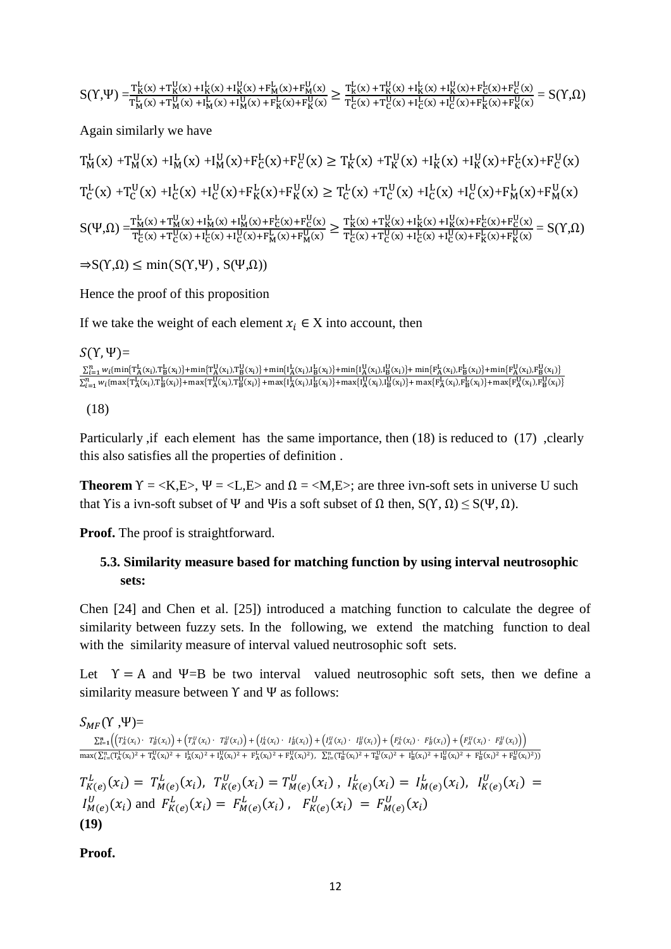$$
S(Y,\Psi)=\hspace{-0.2cm}\frac{T^L_K(x)+T^U_K(x)+I^L_K(x)+I^U_K(x)+F^L_M(x)+F^U_M(x)}{T^L_K(x)+T^U_M(x)+I^U_M(x)+I^U_M(x)+F^L_K(x)+F^U_K(x)}\geq \frac{T^L_K(x)+T^U_K(x)+I^L_K(x)+F^L_G(x)+F^U_G(x)}{T^L_G(x)+T^U_G(x)+I^U_G(x)+I^U_K(x)+F^U_K(x)}=S(Y,\Omega)
$$

Again similarly we have

$$
T_{M}^{L}(x) + T_{M}^{U}(x) + I_{M}^{L}(x) + I_{M}^{U}(x) + F_{C}^{L}(x) + F_{C}^{U}(x) \geq T_{K}^{L}(x) + T_{K}^{U}(x) + I_{K}^{L}(x) + I_{K}^{U}(x) + F_{C}^{L}(x) + F_{C}^{U}(x)
$$
  
\n
$$
T_{C}^{L}(x) + T_{C}^{U}(x) + I_{C}^{L}(x) + I_{C}^{U}(x) + F_{K}^{L}(x) + F_{K}^{U}(x) \geq T_{C}^{L}(x) + T_{C}^{U}(x) + I_{C}^{L}(x) + I_{C}^{U}(x) + F_{M}^{L}(x) + F_{M}^{U}(x)
$$
  
\n
$$
S(\Psi, \Omega) = \frac{T_{M}^{L}(x) + T_{M}^{U}(x) + I_{M}^{L}(x) + I_{M}^{U}(x) + F_{C}^{L}(x) + F_{C}^{U}(x)}{T_{C}^{L}(x) + T_{C}^{U}(x) + T_{C}^{U}(x) + I_{C}^{L}(x) + I_{C}^{U}(x) + F_{M}^{L}(x) + F_{C}^{L}(x) + F_{C}^{U}(x) + F_{C}^{L}(x) + F_{C}^{U}(x) + F_{C}^{L}(x) + F_{C}^{U}(x) + F_{C}^{L}(x) + F_{C}^{U}(x) + F_{C}^{L}(x) + F_{C}^{U}(x) + F_{C}^{L}(x) + F_{C}^{L}(x) + F_{C}^{L}(x) + F_{C}^{L}(x) + F_{C}^{L}(x) + F_{C}^{L}(x) + F_{C}^{L}(x) + F_{C}^{L}(x) + F_{C}^{L}(x) + F_{C}^{L}(x) + F_{C}^{L}(x) + F_{C}^{L}(x) + F_{C}^{L}(x) + F_{C}^{L}(x) + F_{C}^{L}(x) + F_{C}^{L}(x) + F_{C}^{L}(x) + F_{C}^{L}(x) + F_{C}^{L}(x) + F_{C}^{L}(x) + F_{C}^{L}(x) + F_{C}^{L}(x) + F_{C}^{L}(x) + F_{C}^{L}(x) + F_{C}^{L}(x) + F_{C}^{L}(x) + F_{C}^{
$$

 $\Rightarrow S(Y,\Omega) \leq \min(S(Y,\Psi), S(\Psi,\Omega))$ 

Hence the proof of this proposition

If we take the weight of each element  $x_i \in X$  into account, then

 $S(Y,\Psi)$ =  $\frac{\sum_{i=1}^{n}w_{i}\{\min\{T^{L}_{A}(x_{i}),T^{L}_{B}(x_{i})\}+\min\{T^{U}_{A}(x_{i}),T^{U}_{B}(x_{i})\}+\min\{I^{L}_{A}(x_{i}),I^{L}_{B}(x_{i})\}+\min\{I^{U}_{A}(x_{i}),I^{U}_{B}(x_{i})\}+\min\{F^{L}_{A}(x_{i}),F^{L}_{B}(x_{i})\}+\min\{F^{L}_{A}(x_{i}),F^{U}_{B}(x_{i})\}}{\sum_{i=1}^{n}w_{i}\{\max\{T^{L}_{A}(x_{i}),T^{L}_{B}(x_{i})\}+\max\{T^{L}_{$ 

(18)

Particularly ,if each element has the same importance, then (18) is reduced to (17) ,clearly this also satisfies all the properties of definition .

**Theorem**  $Y = \langle K, E \rangle$ ,  $\Psi = \langle L, E \rangle$  and  $\Omega = \langle M, E \rangle$ ; are three ivn-soft sets in universe U such that Y is a ivn-soft subset of Ψ and Ψ is a soft subset of  $\Omega$  then,  $S(Y, \Omega) \leq S(\Psi, \Omega)$ .

**Proof.** The proof is straightforward.

## **5.3. Similarity measure based for matching function by using interval neutrosophic sets:**

Chen [24] and Chen et al. [25]) introduced a matching function to calculate the degree of similarity between fuzzy sets. In the following, we extend the matching function to deal with the similarity measure of interval valued neutrosophic soft sets.

Let  $Y = A$  and  $\Psi = B$  be two interval valued neutrosophic soft sets, then we define a similarity measure between  $\Upsilon$  and  $\Psi$  as follows:

 $S_{MF}(Y, \Psi) =$  $\sum_{l=1}^{n} \left( \left( T_A^L(x_i) \cdot T_B^L(x_i) + T_A^U(x_i) \cdot T_B^U(x_i) \right) + \left( I_A^L(x_i) \cdot I_B^L(x_i) \right) + \left( I_A^U(x_i) \cdot I_B^U(x_i) \right) + \left( F_A^L(x_i) \cdot F_B^L(x_i) \right) + \left( F_A^U(x_i) \cdot I_B^U(x_i) \right) \right)$  $\max(\sum_{i=1}^{n}(\mathbf{T}_{A}^{L}(\mathbf{x}_{i})^{2} + \mathbf{T}_{A}^{L}(\mathbf{x}_{i})^{2} + \mathbf{I}_{A}^{L}(\mathbf{x}_{i})^{2} + \mathbf{F}_{A}^{L}(\mathbf{x}_{i})^{2}) + \sum_{i=1}^{n}(\mathbf{T}_{B}^{L}(\mathbf{x}_{i})^{2} + \mathbf{T}_{B}^{L}(\mathbf{x}_{i})^{2} + \mathbf{I}_{B}^{L}(\mathbf{x}_{i})^{2} + \mathbf{I}_{B}^{L}(\mathbf{x}_{i})^{2} + \mathbf{I}_{B}^{L}(\mathbf{x}_{i})^{2} + \mathbf{$  $T_{K(e)}^L(x_i) = T_{M(e)}^L(x_i), T_{K(e)}^U(x_i) = T_{M(e)}^U(x_i), I_{K(e)}^L(x_i) = I_{M(e)}^L(x_i), I_{K(e)}^U(x_i) =$  $I_{M(e)}^U(x_i)$  and  $F_{K(e)}^L(x_i) = F_{M(e)}^L(x_i)$ ,  $F_{K(e)}^U(x_i) = F_{M(e)}^U(x_i)$ **(19)**

**Proof.**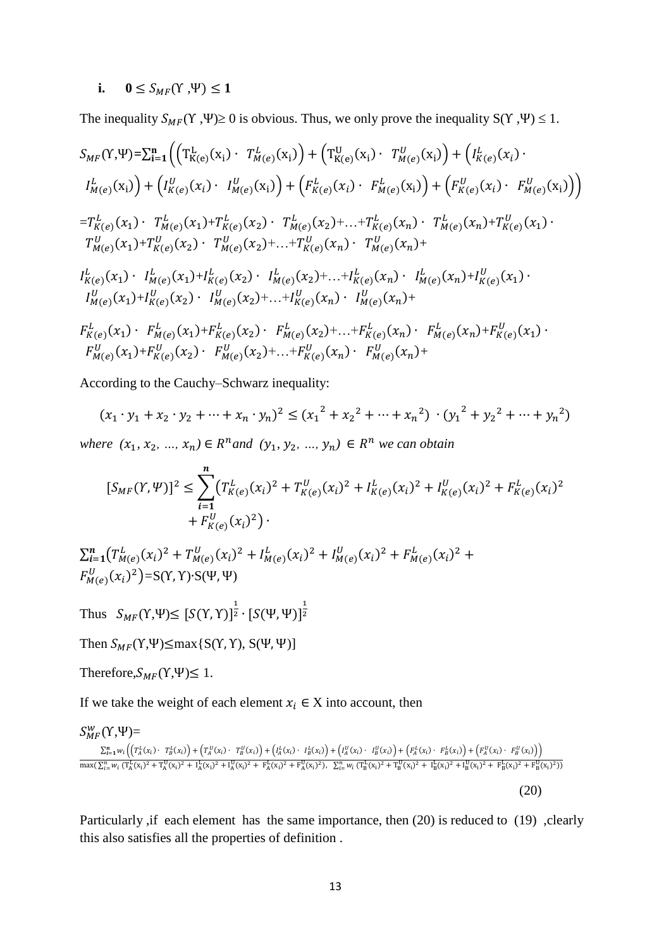## **i.**  $0 \leq S_{MF}(Y, \Psi) \leq 1$

The inequality  $S_{MF}(Y, \Psi) \ge 0$  is obvious. Thus, we only prove the inequality  $S(Y, \Psi) \le 1$ .

$$
S_{MF}(Y, \Psi) = \sum_{i=1}^{n} \Big( \Big( T_{K(e)}^{L}(x_{i}) \cdot T_{M(e)}^{L}(x_{i}) \Big) + \Big( T_{K(e)}^{U}(x_{i}) \cdot T_{M(e)}^{U}(x_{i}) \Big) + \Big( I_{K(e)}^{L}(x_{i}) \cdot I_{M(e)}^{U}(x_{i}) \Big) \Big) + \Big( I_{K(e)}^{L}(x_{i}) \cdot I_{M(e)}^{U}(x_{i}) \Big) + \Big( F_{K(e)}^{L}(x_{i}) \cdot F_{M(e)}^{L}(x_{i}) \Big) + \Big( F_{K(e)}^{U}(x_{i}) \cdot F_{M(e)}^{U}(x_{i}) \Big) \Big)
$$
\n
$$
= T_{K(e)}^{L}(x_{1}) \cdot T_{M(e)}^{L}(x_{1}) + T_{K(e)}^{L}(x_{2}) \cdot T_{M(e)}^{L}(x_{2}) + \ldots + T_{K(e)}^{L}(x_{n}) \cdot T_{M(e)}^{L}(x_{n}) + T_{K(e)}^{U}(x_{1}) \cdot T_{M(e)}^{U}(x_{1}) + T_{K(e)}^{U}(x_{2}) \cdot T_{M(e)}^{U}(x_{2}) + \ldots + T_{K(e)}^{U}(x_{n}) \cdot T_{M(e)}^{U}(x_{n}) + \Big) I_{K(e)}^{L}(x_{1}) \cdot I_{M(e)}^{L}(x_{1}) + I_{K(e)}^{L}(x_{1}) + I_{K(e)}^{L}(x_{2}) \cdot I_{M(e)}^{L}(x_{2}) + \ldots + I_{K(e)}^{L}(x_{n}) \cdot I_{M(e)}^{L}(x_{n}) + I_{K(e)}^{U}(x_{1}) + \Big) I_{M(e)}^{U}(x_{1}) + I_{K(e)}^{U}(x_{2}) \cdot I_{M(e)}^{U}(x_{1}) + \Big) I_{M(e)}^{U}(x_{1}) + \Big) I_{M(e)}^{U}(x_{1}) + I_{K(e)}^{U}(x_{2}) \cdot I_{M(e)}^{L}(x_{2}) + \ldots + I_{K(e)}^{L}(x_{n}) \cdot I_{M(e)}^{L}(x_{n}) + \Big) I_{M(e)}^{U}(x_{1}) + I_{K(e)}^{U}(x_{1}) + I_{K(e)}^{U}(x_{1}) + I_{K(e)}^{U}(x_{2}) \cdot I_{M(e)}^{U}(x_{2}) + \ldots + I_{K(e)}^{U}(x_{n}) \cdot I_{M(e)}^{U}(x_{n}) + \Big) I_{M
$$

According to the Cauchy–Schwarz inequality:

$$
(x_1 \cdot y_1 + x_2 \cdot y_2 + \dots + x_n \cdot y_n)^2 \le (x_1^2 + x_2^2 + \dots + x_n^2) \cdot (y_1^2 + y_2^2 + \dots + y_n^2)
$$

 $where (x_1, x_2, ..., x_n) \in R^n$  and  $(y_1, y_2, ..., y_n) \in R^n$  we can obtain

$$
[S_{MF}(Y, \Psi)]^2 \leq \sum_{i=1}^n (T_{K(e)}^L(x_i)^2 + T_{K(e)}^U(x_i)^2 + I_{K(e)}^L(x_i)^2 + I_{K(e)}^U(x_i)^2 + F_{K(e)}^L(x_i)^2 + F_{K(e)}^U(x_i)^2)
$$

 $\sum_{i=1}^{n} (T_{M(e)}^{L}(x_i)^2 + T_{M(e)}^{U}(x_i)^2 + I_{M(e)}^{L}(x_i)^2 + I_{M(e)}^{U}(x_i)^2 + F_{M(e)}^{L}(x_i)^2 +$  $F_{M(e)}^U(x_i)^2$ =S(Y, Y)•S(Ψ, Ψ)

Thus  $S_{MF}(\Upsilon, \Psi) \leq [S(\Upsilon, \Upsilon)]^{\frac{1}{2}} \cdot [S(\Psi, \Psi)]^{\frac{1}{2}}$ 2

Then  $S_{MF}(Y, \Psi) \leq \max\{S(Y, Y), S(\Psi, \Psi)\}$ 

Therefore, 
$$
S_{MF}(Y, \Psi) \leq 1
$$
.

If we take the weight of each element  $x_i \in X$  into account, then

## $S_{MF}^W(Y,\Psi)=$  $\sum_{i=1}^n w_i \left( \left( T_A^L(x_i) \cdot T_B^L(x_i) \right) + \left( T_A^U(x_i) \cdot T_B^U(x_i) \right) + \left( I_A^L(x_i) \cdot I_B^L(x_i) \right) + \left( I_A^U(x_i) \cdot I_B^U(x_i) \right) + \left( F_A^L(x_i) \cdot F_B^L(x_i) \right) + \left( F_A^U(x_i) \cdot T_B^U(x_i) \right) \right)$  $\max(\sum_{i=1}^{n} w_i \left( \frac{\text{T}_A^1(x_i)^2 + \text{T}_A^1(x_i)^2 + \text{I}_A^1(x_i)^2 + \text{F}_A^1(x_i)^2 + \text{F}_A^1(x_i)^2 \right), \sum_{i=1}^{n} w_i \left( \text{T}_B^1(x_i)^2 + \text{T}_B^1(x_i)^2 + \text{I}_B^1(x_i)^2 + \text{I}_B^1(x_i)^2 + \text{F}_B^1(x_i)^2 + \text{F}_B^1(x_i)^2 \right)$

(20)

Particularly , if each element has the same importance, then (20) is reduced to (19) , clearly this also satisfies all the properties of definition .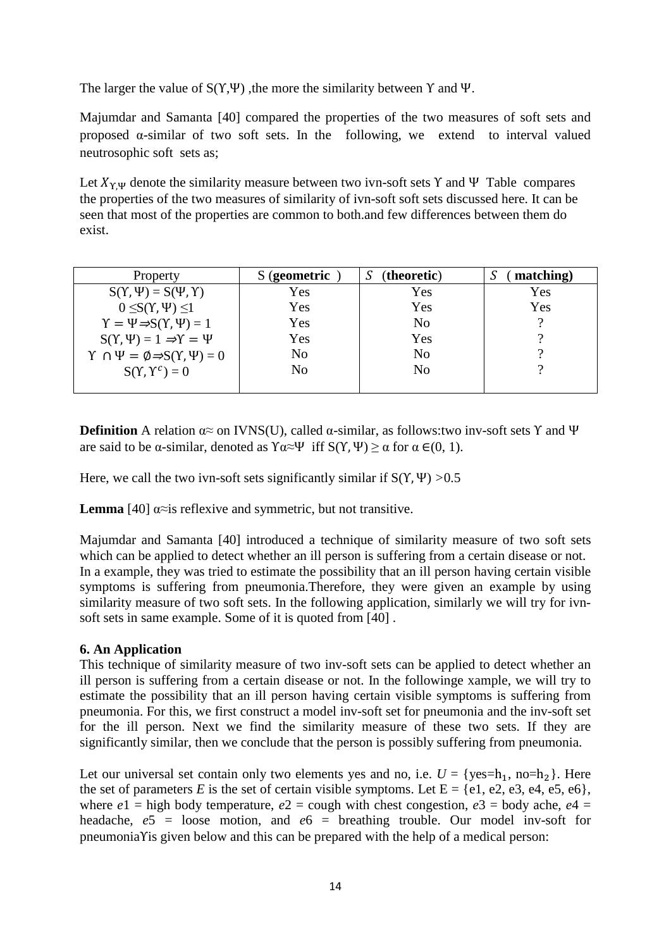The larger the value of  $S(Y, \Psi)$ , the more the similarity between Y and  $\Psi$ .

Majumdar and Samanta [40] compared the properties of the two measures of soft sets and proposed α-similar of two soft sets. In the following, we extend to interval valued neutrosophic soft sets as;

Let  $X_{\gamma,\Psi}$  denote the similarity measure between two ivn-soft sets Y and Ψ Table compares the properties of the two measures of similarity of ivn-soft soft sets discussed here. It can be seen that most of the properties are common to both.and few differences between them do exist.

| Property                                                           | S (geometric | (theoretic)    | matching)<br>A. |
|--------------------------------------------------------------------|--------------|----------------|-----------------|
| $S(Y, \Psi) = S(\Psi, Y)$                                          | Yes          | Yes            | Yes             |
| $0 \leq S(Y, \Psi) \leq 1$                                         | Yes          | Yes            | Yes             |
| $\Upsilon = \Psi \Rightarrow S(\Upsilon, \Psi) = 1$                | Yes          | N <sub>0</sub> |                 |
| $S(Y, \Psi) = 1 \Rightarrow Y = \Psi$                              | Yes          | Yes            |                 |
| $\Upsilon \cap \Psi = \emptyset \Rightarrow S(\Upsilon, \Psi) = 0$ | No           | N <sub>o</sub> |                 |
| $S(Y, Y^c) = 0$                                                    | No           | N <sub>o</sub> |                 |
|                                                                    |              |                |                 |

**Definition** A relation  $\alpha \approx$  on IVNS(U), called  $\alpha$ -similar, as follows:two inv-soft sets Y and Ψ are said to be α-similar, denoted as  $\Upsilon \alpha \approx \Psi$  iff  $S(\Upsilon, \Psi) \ge \alpha$  for  $\alpha \in (0, 1)$ .

Here, we call the two ivn-soft sets significantly similar if  $S(Y, \Psi) > 0.5$ 

**Lemma** [40]  $\alpha \approx$  is reflexive and symmetric, but not transitive.

Majumdar and Samanta [40] introduced a technique of similarity measure of two soft sets which can be applied to detect whether an ill person is suffering from a certain disease or not. In a example, they was tried to estimate the possibility that an ill person having certain visible symptoms is suffering from pneumonia.Therefore, they were given an example by using similarity measure of two soft sets. In the following application, similarly we will try for ivnsoft sets in same example. Some of it is quoted from [40] .

## **6. An Application**

This technique of similarity measure of two inv-soft sets can be applied to detect whether an ill person is suffering from a certain disease or not. In the followinge xample, we will try to estimate the possibility that an ill person having certain visible symptoms is suffering from pneumonia. For this, we first construct a model inv-soft set for pneumonia and the inv-soft set for the ill person. Next we find the similarity measure of these two sets. If they are significantly similar, then we conclude that the person is possibly suffering from pneumonia.

Let our universal set contain only two elements yes and no, i.e.  $U = \{yes=h_1, no=h_2\}$ . Here the set of parameters *E* is the set of certain visible symptoms. Let  $E = \{e1, e2, e3, e4, e5, e6\}$ , where  $e1$  = high body temperature,  $e2$  = cough with chest congestion,  $e3$  = body ache,  $e4$  = headache, *e*5 = loose motion, and *e*6 = breathing trouble. Our model inv-soft for pneumoniaΥis given below and this can be prepared with the help of a medical person: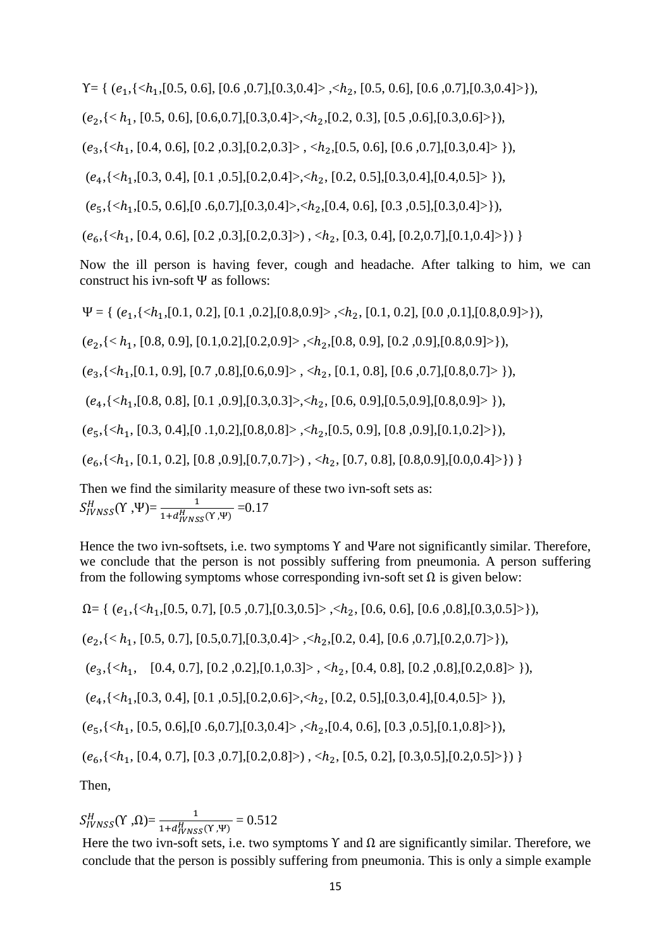$Y = \{ (e_1, \{,$ 

 $(e_2, \{< h_1, [0.5, 0.6], [0.6, 0.7], [0.3, 0.4]>, < h_2, [0.2, 0.3], [0.5, 0.6], [0.3, 0.6]\}$ 

 $(e_3,\{, \}),$ 

 $(e_4, \{$ 

 $(e_5, \{,$ 

 $(e_6, \{,  $< h_2$ ,  $[0.3, 0.4], [0.2, 0.7], [0.1, 0.4]\rangle)$$ 

Now the ill person is having fever, cough and headache. After talking to him, we can construct his ivn-soft Ψ as follows:

 $\Psi = \{ (e_1, \{ \langle h_1, [0.1, 0.2], [0.1, 0.2], [0.8, 0.9] \rangle, \langle h_2, [0.1, 0.2], [0.0, 0.1], [0.8, 0.9] \rangle \},$  $(e_2, \{< h_1, [0.8, 0.9], [0.1, 0.2], [0.2, 0.9]>, < h_2, [0.8, 0.9], [0.2, 0.9], [0.8, 0.9]\}$  $(e_3,\{, \}),$  $(e_4, \{$  $(e_5, \{,$  $(e_6, \{\}, \})$ Then we find the similarity measure of these two ivn-soft sets as:

 $S_{IVNSS}^H(Y, \Psi) = \frac{1}{1 + d_{IVNSS}^H(Y, \Psi)} = 0.17$ 

Hence the two ivn-softsets, i.e. two symptoms Υ and Ψare not significantly similar. Therefore, we conclude that the person is not possibly suffering from pneumonia. A person suffering from the following symptoms whose corresponding ivn-soft set  $\Omega$  is given below:

$$
\Omega = \{ (e_1, \{< h_1, [0.5, 0.7], [0.5, 0.7], [0.3, 0.5] > , < h_2, [0.6, 0.6], [0.6, 0.8], [0.3, 0.5] > \}, \}, (e_2, \{< h_1, [0.5, 0.7], [0.5, 0.7], [0.3, 0.4] > , < h_2, [0.2, 0.4], [0.6, 0.7], [0.2, 0.7] > \}, \}, (e_3, \{< h_1, [0.4, 0.7], [0.2, 0.2], [0.1, 0.3] > , < h_2, [0.4, 0.8], [0.2, 0.8], [0.2, 0.8] > \}, \}, (e_4, \{< h_1, [0.3, 0.4], [0.1, 0.5], [0.2, 0.6] > , < h_2, [0.2, 0.5], [0.3, 0.4], [0.4, 0.5] > \}, \}, (e_5, \{< h_1, [0.5, 0.6], [0.6, 0.7], [0.3, 0.4] > , < h_2, [0.4, 0.6], [0.3, 0.5], [0.1, 0.8] > \}, \}, (e_6, \{< h_1, [0.4, 0.7], [0.3, 0.7], [0.2, 0.8] > ) , < h_2, [0.5, 0.2], [0.3, 0.5], [0.2, 0.5] > \} ) \}
$$
\nThen,

 $S_{IVNSS}^H(Y, \Omega) = \frac{1}{1 + d_{IVNSS}^H(Y, \Psi)} = 0.512$ 

Here the two ivn-soft sets, i.e. two symptoms  $\Upsilon$  and  $\Omega$  are significantly similar. Therefore, we conclude that the person is possibly suffering from pneumonia. This is only a simple example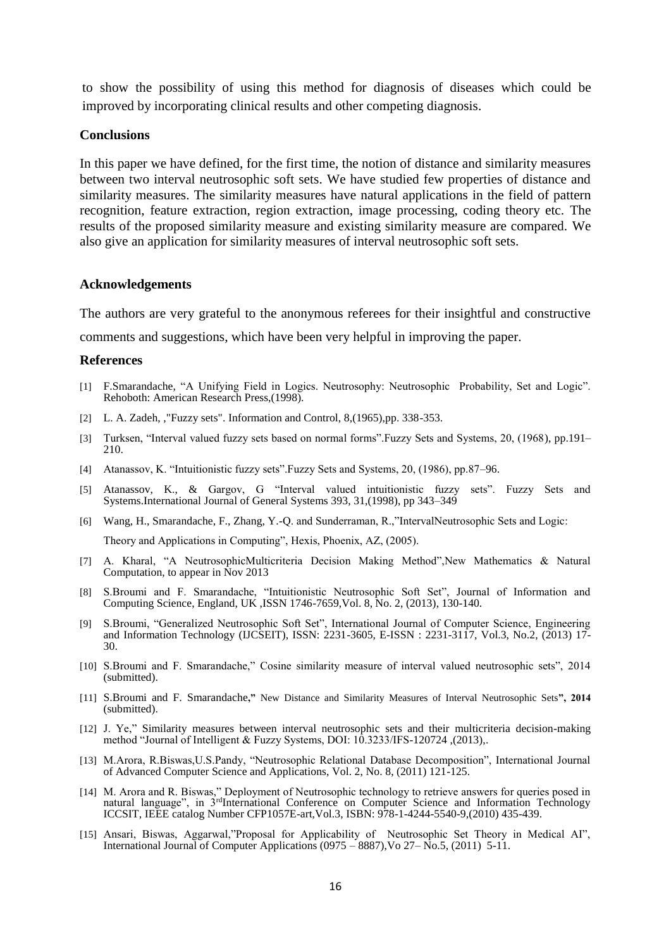to show the possibility of using this method for diagnosis of diseases which could be improved by incorporating clinical results and other competing diagnosis.

#### **Conclusions**

In this paper we have defined, for the first time, the notion of distance and similarity measures between two interval neutrosophic soft sets. We have studied few properties of distance and similarity measures. The similarity measures have natural applications in the field of pattern recognition, feature extraction, region extraction, image processing, coding theory etc. The results of the proposed similarity measure and existing similarity measure are compared. We also give an application for similarity measures of interval neutrosophic soft sets.

#### **Acknowledgements**

The authors are very grateful to the anonymous referees for their insightful and constructive

comments and suggestions, which have been very helpful in improving the paper.

#### **References**

- [1] F.Smarandache, "A Unifying Field in Logics. Neutrosophy: Neutrosophic Probability, Set and Logic". Rehoboth: American Research Press,(1998).
- [2] L. A. Zadeh, , "Fuzzy sets". Information and Control, 8, (1965), pp. 338-353.
- [3] Turksen, "Interval valued fuzzy sets based on normal forms".Fuzzy Sets and Systems, 20, (1968), pp.191– 210.
- [4] Atanassov, K. "Intuitionistic fuzzy sets".Fuzzy Sets and Systems, 20, (1986), pp.87–96.
- [5] Atanassov, K., & Gargov, G "Interval valued intuitionistic fuzzy sets". Fuzzy Sets and Systems.International Journal of General Systems 393, 31,(1998), pp 343–349
- [6] Wang, H., Smarandache, F., Zhang, Y.-Q. and Sunderraman, R.,"IntervalNeutrosophic Sets and Logic: Theory and Applications in Computing", Hexis, Phoenix, AZ, (2005).
- [7] A. Kharal, "A NeutrosophicMulticriteria Decision Making Method",New Mathematics & Natural Computation, to appear in Nov 2013
- [8] S.Broumi and F. Smarandache, "Intuitionistic Neutrosophic Soft Set", Journal of Information and Computing Science, England, UK ,ISSN 1746-7659,Vol. 8, No. 2, (2013), 130-140.
- [9] S.Broumi, "Generalized Neutrosophic Soft Set", International Journal of Computer Science, Engineering and Information Technology (IJCSEIT), ISSN: 2231-3605, E-ISSN : 2231-3117, Vol.3, No.2, (2013) 17- 30.
- [10] S.Broumi and F. Smarandache," Cosine similarity measure of interval valued neutrosophic sets", 2014 (submitted).
- [11] S.Broumi and F. Smarandache**,"** New Distance and Similarity Measures of Interval Neutrosophic Sets**", 2014**  (submitted).
- [12] J. Ye," Similarity measures between interval neutrosophic sets and their multicriteria decision-making method "Journal of Intelligent & Fuzzy Systems, DOI: 10.3233/IFS-120724 ,(2013),.
- [13] M.Arora, R.Biswas,U.S.Pandy, "Neutrosophic Relational Database Decomposition", International Journal of Advanced Computer Science and Applications, Vol. 2, No. 8, (2011) 121-125.
- [14] M. Arora and R. Biswas," Deployment of Neutrosophic technology to retrieve answers for queries posed in natural language", in 3<sup>rd</sup>International Conference on Computer Science and Information Technology ICCSIT, IEEE catalog Number CFP1057E-art,Vol.3, ISBN: 978-1-4244-5540-9,(2010) 435-439.
- [15] Ansari, Biswas, Aggarwal,"Proposal for Applicability of Neutrosophic Set Theory in Medical AI", International Journal of Computer Applications (0975 – 8887),Vo 27– No.5, (2011) 5-11.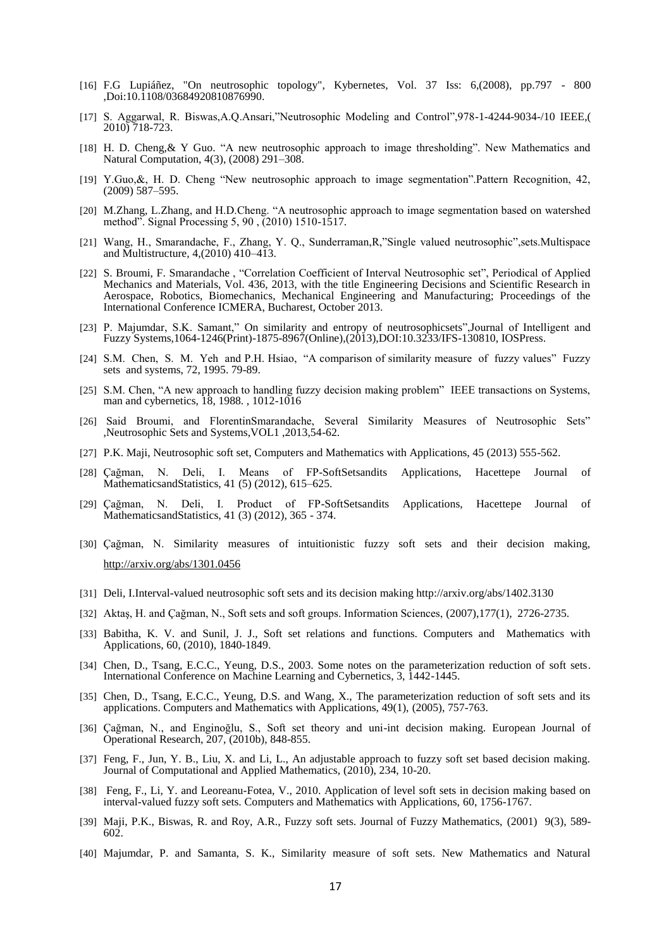- [16] F.G Lupiáñez, "On neutrosophic topology", Kybernetes, Vol. 37 Iss: 6,(2008), pp.797 800 ,Doi:10.1108/03684920810876990.
- [17] S. Aggarwal, R. Biswas,A.Q.Ansari,"Neutrosophic Modeling and Control",978-1-4244-9034-/10 IEEE,( 2010) 718-723.
- [18] H. D. Cheng,& Y Guo. "A new neutrosophic approach to image thresholding". New Mathematics and Natural Computation, 4(3), (2008) 291–308.
- [19] Y.Guo,&, H. D. Cheng "New neutrosophic approach to image segmentation".Pattern Recognition, 42, (2009) 587–595.
- [20] M.Zhang, L.Zhang, and H.D.Cheng. "A neutrosophic approach to image segmentation based on watershed method". Signal Processing 5, 90 , (2010) 1510-1517.
- [21] Wang, H., Smarandache, F., Zhang, Y. Q., Sunderraman,R,"Single valued neutrosophic",sets.Multispace and Multistructure, 4,(2010) 410–413.
- [22] S. Broumi, F. Smarandache , "Correlation Coefficient of Interval Neutrosophic set", Periodical of Applied Mechanics and Materials, Vol. 436, 2013, with the title Engineering Decisions and Scientific Research in Aerospace, Robotics, Biomechanics, Mechanical Engineering and Manufacturing; Proceedings of the International Conference ICMERA, Bucharest, October 2013.
- [23] P. Majumdar, S.K. Samant," [On similarity and entropy of neutrosophicsets"](http://iospress.metapress.com/content/8342372573j42764/),Journal of Intelligent and Fuzzy Systems,1064-1246(Print)-1875-8967(Online),(2013),DOI:10.3233/IFS-130810, IOSPress.
- [24] S.M. Chen, S. M. Yeh and P.H. Hsiao, "A comparison of similarity measure of fuzzy values" Fuzzy sets and systems, 72, 1995. 79-89.
- [25] S.M. Chen, "A new approach to handling fuzzy decision making problem" IEEE transactions on Systems, man and cybernetics, 18, 1988. , 1012-1016
- [26] Said Broumi, and FlorentinSmarandache, Several Similarity Measures of Neutrosophic Sets" ,Neutrosophic Sets and Systems,VOL1 ,2013,54-62.
- [27] P.K. Maji, Neutrosophic soft set, Computers and Mathematics with Applications, 45 (2013) 555-562.
- [28] Çağman, N. Deli, I. Means of FP-SoftSetsandits Applications, Hacettepe Journal of MathematicsandStatistics, 41 (5) (2012), 615-625.
- [29] Çağman, N. Deli, I. Product of FP-SoftSetsandits Applications, Hacettepe Journal of MathematicsandStatistics, 41 (3) (2012), 365 - 374.
- [30] Çağman, N. Similarity measures of intuitionistic fuzzy soft sets and their decision making, <http://arxiv.org/abs/1301.0456>
- [31] Deli, I.Interval-valued neutrosophic soft sets and its decision making http://arxiv.org/abs/1402.3130
- [32] Aktaş, H. and Çağman, N., Soft sets and soft groups. Information Sciences, (2007),177(1), 2726-2735.
- [33] Babitha, K. V. and Sunil, J. J., Soft set relations and functions. Computers and Mathematics with Applications, 60, (2010), 1840-1849.
- [34] Chen, D., Tsang, E.C.C., Yeung, D.S., 2003. Some notes on the parameterization reduction of soft sets. International Conference on Machine Learning and Cybernetics, 3, 1442-1445.
- [35] Chen, D., Tsang, E.C.C., Yeung, D.S. and Wang, X., The parameterization reduction of soft sets and its applications. Computers and Mathematics with Applications, 49(1), (2005), 757-763.
- [36] Çağman, N., and Enginoğlu, S., Soft set theory and uni-int decision making. European Journal of Operational Research, 207, (2010b), 848-855.
- [37] Feng, F., Jun, Y. B., Liu, X. and Li, L., An adjustable approach to fuzzy soft set based decision making. Journal of Computational and Applied Mathematics, (2010), 234, 10-20.
- [38] Feng, F., Li, Y. and Leoreanu-Fotea, V., 2010. Application of level soft sets in decision making based on interval-valued fuzzy soft sets. Computers and Mathematics with Applications, 60, 1756-1767.
- [39] Maji, P.K., Biswas, R. and Roy, A.R., Fuzzy soft sets. Journal of Fuzzy Mathematics, (2001) 9(3), 589- 602.
- [40] Majumdar, P. and Samanta, S. K., Similarity measure of soft sets. New Mathematics and Natural